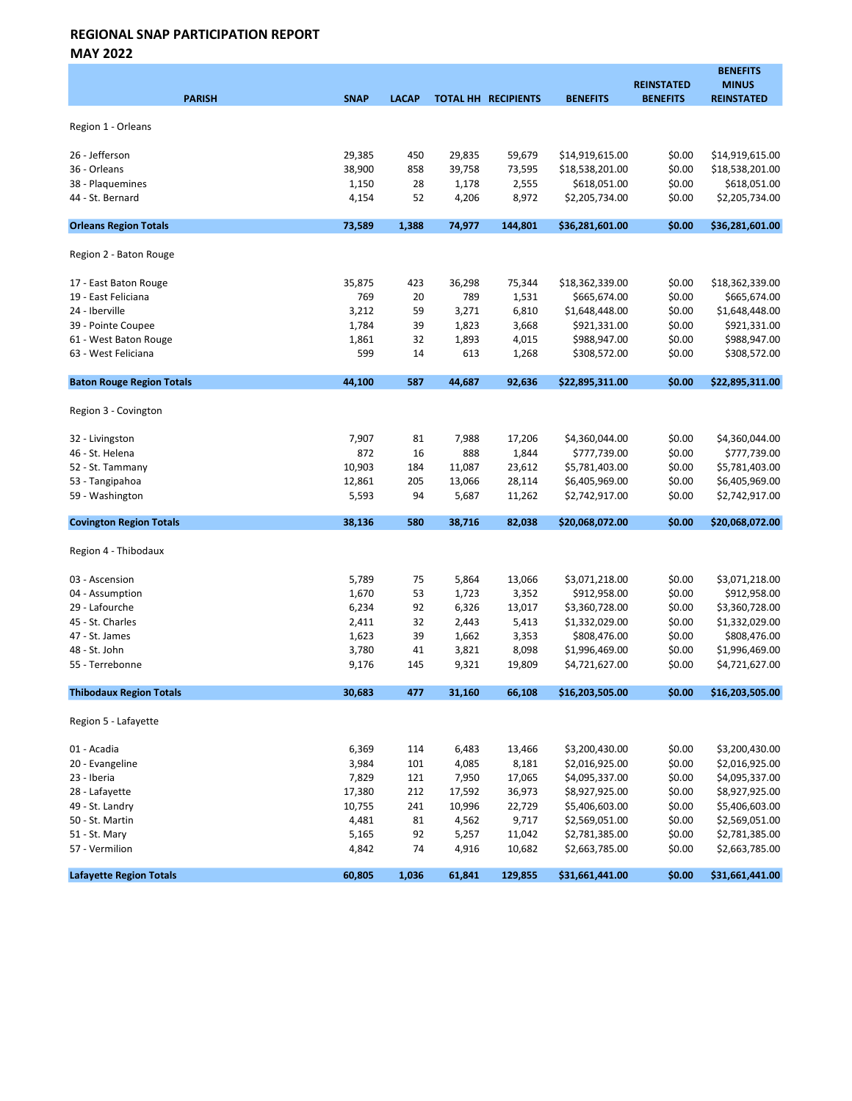MAY 2022

| <b>PARISH</b>                    | <b>SNAP</b> | <b>LACAP</b> |        | <b>TOTAL HH RECIPIENTS</b> | <b>BENEFITS</b> | <b>REINSTATED</b><br><b>BENEFITS</b> | <b>BENEFITS</b><br><b>MINUS</b><br><b>REINSTATED</b> |
|----------------------------------|-------------|--------------|--------|----------------------------|-----------------|--------------------------------------|------------------------------------------------------|
| Region 1 - Orleans               |             |              |        |                            |                 |                                      |                                                      |
| 26 - Jefferson                   | 29,385      | 450          | 29,835 | 59,679                     | \$14,919,615.00 | \$0.00                               | \$14,919,615.00                                      |
| 36 - Orleans                     | 38,900      | 858          | 39,758 | 73,595                     | \$18,538,201.00 | \$0.00                               | \$18,538,201.00                                      |
| 38 - Plaquemines                 | 1,150       | 28           | 1,178  | 2,555                      | \$618,051.00    | \$0.00                               | \$618,051.00                                         |
| 44 - St. Bernard                 | 4,154       | 52           | 4,206  | 8,972                      | \$2,205,734.00  | \$0.00                               | \$2,205,734.00                                       |
| <b>Orleans Region Totals</b>     | 73,589      | 1,388        | 74,977 | 144,801                    | \$36,281,601.00 | \$0.00                               | \$36,281,601.00                                      |
| Region 2 - Baton Rouge           |             |              |        |                            |                 |                                      |                                                      |
| 17 - East Baton Rouge            | 35,875      | 423          | 36,298 | 75,344                     | \$18,362,339.00 | \$0.00                               | \$18,362,339.00                                      |
| 19 - East Feliciana              | 769         | 20           | 789    | 1,531                      | \$665,674.00    | \$0.00                               | \$665,674.00                                         |
| 24 - Iberville                   | 3,212       | 59           | 3,271  | 6,810                      | \$1,648,448.00  | \$0.00                               | \$1,648,448.00                                       |
| 39 - Pointe Coupee               | 1,784       | 39           | 1,823  | 3,668                      | \$921,331.00    | \$0.00                               | \$921,331.00                                         |
| 61 - West Baton Rouge            | 1,861       | 32           | 1,893  | 4,015                      | \$988,947.00    | \$0.00                               | \$988,947.00                                         |
| 63 - West Feliciana              | 599         | 14           | 613    | 1,268                      | \$308,572.00    | \$0.00                               | \$308,572.00                                         |
| <b>Baton Rouge Region Totals</b> | 44,100      | 587          | 44,687 | 92,636                     | \$22,895,311.00 | \$0.00                               | \$22,895,311.00                                      |
| Region 3 - Covington             |             |              |        |                            |                 |                                      |                                                      |
| 32 - Livingston                  | 7,907       | 81           | 7,988  | 17,206                     | \$4,360,044.00  | \$0.00                               | \$4,360,044.00                                       |
| 46 - St. Helena                  | 872         | 16           | 888    | 1,844                      | \$777,739.00    | \$0.00                               | \$777,739.00                                         |
| 52 - St. Tammany                 | 10,903      | 184          | 11,087 | 23,612                     | \$5,781,403.00  | \$0.00                               | \$5,781,403.00                                       |
| 53 - Tangipahoa                  | 12,861      | 205          | 13,066 | 28,114                     | \$6,405,969.00  | \$0.00                               | \$6,405,969.00                                       |
| 59 - Washington                  | 5,593       | 94           | 5,687  | 11,262                     | \$2,742,917.00  | \$0.00                               | \$2,742,917.00                                       |
| <b>Covington Region Totals</b>   | 38,136      | 580          | 38,716 | 82,038                     | \$20,068,072.00 | \$0.00                               | \$20,068,072.00                                      |
| Region 4 - Thibodaux             |             |              |        |                            |                 |                                      |                                                      |
| 03 - Ascension                   | 5,789       | 75           | 5,864  | 13,066                     | \$3,071,218.00  | \$0.00                               | \$3,071,218.00                                       |
| 04 - Assumption                  | 1,670       | 53           | 1,723  | 3,352                      | \$912,958.00    | \$0.00                               | \$912,958.00                                         |
| 29 - Lafourche                   | 6,234       | 92           | 6,326  | 13,017                     | \$3,360,728.00  | \$0.00                               | \$3,360,728.00                                       |
| 45 - St. Charles                 | 2,411       | 32           | 2,443  | 5,413                      | \$1,332,029.00  | \$0.00                               | \$1,332,029.00                                       |
| 47 - St. James                   | 1,623       | 39           | 1,662  | 3,353                      | \$808,476.00    | \$0.00                               | \$808,476.00                                         |
| 48 - St. John                    | 3,780       | 41           | 3,821  | 8,098                      | \$1,996,469.00  | \$0.00                               | \$1,996,469.00                                       |
| 55 - Terrebonne                  | 9,176       | 145          | 9,321  | 19,809                     | \$4,721,627.00  | \$0.00                               | \$4,721,627.00                                       |
| <b>Thibodaux Region Totals</b>   | 30,683      | 477          | 31,160 | 66,108                     | \$16,203,505.00 | \$0.00                               | \$16,203,505.00                                      |
| Region 5 - Lafayette             |             |              |        |                            |                 |                                      |                                                      |
| 01 - Acadia                      | 6,369       | 114          | 6,483  | 13,466                     | \$3,200,430.00  | \$0.00                               | \$3,200,430.00                                       |
| 20 - Evangeline                  | 3,984       | 101          | 4,085  | 8,181                      | \$2,016,925.00  | \$0.00                               | \$2,016,925.00                                       |
| 23 - Iberia                      | 7,829       | 121          | 7,950  | 17,065                     | \$4,095,337.00  | \$0.00                               | \$4,095,337.00                                       |
| 28 - Lafayette                   | 17,380      | 212          | 17,592 | 36,973                     | \$8,927,925.00  | \$0.00                               | \$8,927,925.00                                       |
| 49 - St. Landry                  | 10,755      | 241          | 10,996 | 22,729                     | \$5,406,603.00  | \$0.00                               | \$5,406,603.00                                       |
| 50 - St. Martin                  | 4,481       | 81           | 4,562  | 9,717                      | \$2,569,051.00  | \$0.00                               | \$2,569,051.00                                       |
| 51 - St. Mary                    | 5,165       | 92           | 5,257  | 11,042                     | \$2,781,385.00  | \$0.00                               | \$2,781,385.00                                       |
| 57 - Vermilion                   | 4,842       | 74           | 4,916  | 10,682                     | \$2,663,785.00  | \$0.00                               | \$2,663,785.00                                       |
| <b>Lafayette Region Totals</b>   | 60,805      | 1,036        | 61,841 | 129,855                    | \$31,661,441.00 | \$0.00                               | \$31,661,441.00                                      |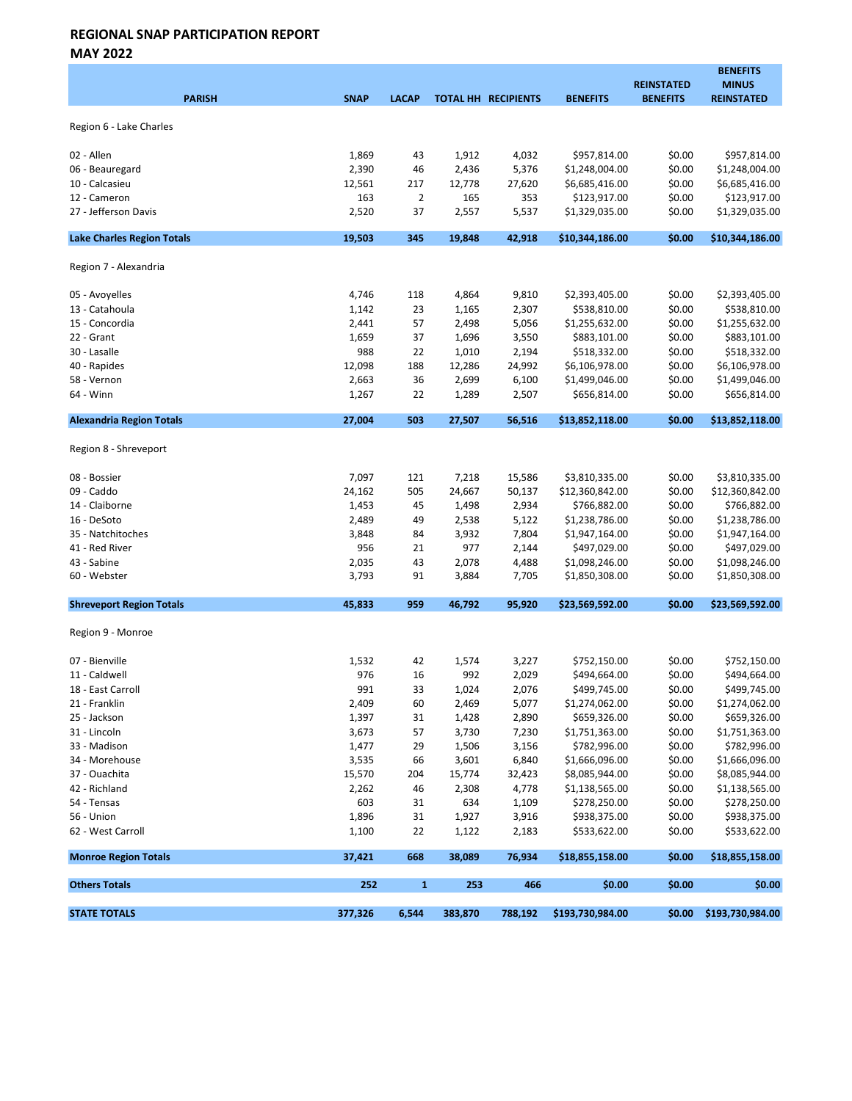MAY 2022

| <b>PARISH</b>                     | <b>SNAP</b> | <b>LACAP</b>   |         | TOTAL HH RECIPIENTS | <b>BENEFITS</b>  | <b>REINSTATED</b><br><b>BENEFITS</b> | <b>BENEFITS</b><br><b>MINUS</b><br><b>REINSTATED</b> |
|-----------------------------------|-------------|----------------|---------|---------------------|------------------|--------------------------------------|------------------------------------------------------|
| Region 6 - Lake Charles           |             |                |         |                     |                  |                                      |                                                      |
| 02 - Allen                        | 1,869       | 43             | 1,912   | 4,032               | \$957,814.00     | \$0.00                               | \$957,814.00                                         |
| 06 - Beauregard                   | 2,390       | 46             | 2,436   | 5,376               | \$1,248,004.00   | \$0.00                               | \$1,248,004.00                                       |
| 10 - Calcasieu                    | 12,561      | 217            | 12,778  | 27,620              | \$6,685,416.00   | \$0.00                               | \$6,685,416.00                                       |
| 12 - Cameron                      | 163         | $\overline{2}$ | 165     | 353                 | \$123,917.00     | \$0.00                               | \$123,917.00                                         |
| 27 - Jefferson Davis              | 2,520       | 37             | 2,557   | 5,537               | \$1,329,035.00   | \$0.00                               | \$1,329,035.00                                       |
| <b>Lake Charles Region Totals</b> | 19,503      | 345            | 19,848  | 42,918              | \$10,344,186.00  | \$0.00                               | \$10,344,186.00                                      |
| Region 7 - Alexandria             |             |                |         |                     |                  |                                      |                                                      |
| 05 - Avoyelles                    | 4,746       | 118            | 4,864   | 9,810               | \$2,393,405.00   | \$0.00                               | \$2,393,405.00                                       |
| 13 - Catahoula                    | 1,142       | 23             | 1,165   | 2,307               | \$538,810.00     | \$0.00                               | \$538,810.00                                         |
| 15 - Concordia                    | 2,441       | 57             | 2,498   | 5,056               | \$1,255,632.00   | \$0.00                               | \$1,255,632.00                                       |
| 22 - Grant                        | 1,659       | 37             | 1,696   | 3,550               | \$883,101.00     | \$0.00                               | \$883,101.00                                         |
| 30 - Lasalle                      | 988         | 22             | 1,010   | 2,194               | \$518,332.00     | \$0.00                               | \$518,332.00                                         |
| 40 - Rapides                      | 12,098      | 188            | 12,286  | 24,992              | \$6,106,978.00   | \$0.00                               | \$6,106,978.00                                       |
| 58 - Vernon                       | 2,663       | 36             | 2,699   | 6,100               | \$1,499,046.00   | \$0.00                               | \$1,499,046.00                                       |
| 64 - Winn                         | 1,267       | 22             | 1,289   | 2,507               | \$656,814.00     | \$0.00                               | \$656,814.00                                         |
| <b>Alexandria Region Totals</b>   | 27,004      | 503            | 27,507  | 56,516              | \$13,852,118.00  | \$0.00                               | \$13,852,118.00                                      |
| Region 8 - Shreveport             |             |                |         |                     |                  |                                      |                                                      |
| 08 - Bossier                      | 7,097       | 121            | 7,218   | 15,586              | \$3,810,335.00   | \$0.00                               | \$3,810,335.00                                       |
| 09 - Caddo                        | 24,162      | 505            | 24,667  | 50,137              | \$12,360,842.00  | \$0.00                               | \$12,360,842.00                                      |
| 14 - Claiborne                    | 1,453       | 45             | 1,498   | 2,934               | \$766,882.00     | \$0.00                               | \$766,882.00                                         |
| 16 - DeSoto                       | 2,489       | 49             | 2,538   | 5,122               | \$1,238,786.00   | \$0.00                               | \$1,238,786.00                                       |
| 35 - Natchitoches                 | 3,848       | 84             | 3,932   | 7,804               | \$1,947,164.00   | \$0.00                               | \$1,947,164.00                                       |
| 41 - Red River                    | 956         | 21             | 977     | 2,144               | \$497,029.00     | \$0.00                               | \$497,029.00                                         |
| 43 - Sabine                       | 2,035       | 43             | 2,078   | 4,488               | \$1,098,246.00   | \$0.00                               | \$1,098,246.00                                       |
| 60 - Webster                      | 3,793       | 91             | 3,884   | 7,705               | \$1,850,308.00   | \$0.00                               | \$1,850,308.00                                       |
| <b>Shreveport Region Totals</b>   | 45,833      | 959            | 46,792  | 95,920              | \$23,569,592.00  | \$0.00                               | \$23,569,592.00                                      |
| Region 9 - Monroe                 |             |                |         |                     |                  |                                      |                                                      |
| 07 - Bienville                    | 1,532       | 42             | 1,574   | 3,227               | \$752,150.00     | \$0.00                               | \$752,150.00                                         |
| 11 - Caldwell                     | 976         | 16             | 992     | 2,029               | \$494,664.00     | \$0.00                               | \$494,664.00                                         |
| 18 - East Carroll                 | 991         | 33             | 1,024   | 2,076               | \$499,745.00     | \$0.00                               | \$499,745.00                                         |
| 21 - Franklin                     | 2,409       | 60             | 2,469   | 5,077               | \$1,274,062.00   | \$0.00                               | \$1,274,062.00                                       |
| 25 - Jackson                      | 1,397       | 31             | 1,428   | 2,890               | \$659,326.00     | \$0.00                               | \$659,326.00                                         |
| 31 - Lincoln                      | 3,673       | 57             | 3,730   | 7,230               | \$1,751,363.00   | \$0.00                               | \$1,751,363.00                                       |
| 33 - Madison                      | 1,477       | 29             | 1,506   | 3,156               | \$782,996.00     | \$0.00                               | \$782,996.00                                         |
| 34 - Morehouse                    | 3,535       | 66             | 3,601   | 6,840               | \$1,666,096.00   | \$0.00                               | \$1,666,096.00                                       |
| 37 - Ouachita                     | 15,570      | 204            | 15,774  | 32,423              | \$8,085,944.00   | \$0.00                               | \$8,085,944.00                                       |
| 42 - Richland                     | 2,262       | 46             | 2,308   | 4,778               | \$1,138,565.00   | \$0.00                               | \$1,138,565.00                                       |
| 54 - Tensas                       | 603         | 31             | 634     | 1,109               | \$278,250.00     | \$0.00                               | \$278,250.00                                         |
| 56 - Union                        | 1,896       | 31             | 1,927   | 3,916               | \$938,375.00     | \$0.00                               | \$938,375.00                                         |
| 62 - West Carroll                 | 1,100       | 22             | 1,122   | 2,183               | \$533,622.00     | \$0.00                               | \$533,622.00                                         |
| <b>Monroe Region Totals</b>       | 37,421      | 668            | 38,089  | 76,934              | \$18,855,158.00  | \$0.00                               | \$18,855,158.00                                      |
| <b>Others Totals</b>              | 252         | $\mathbf{1}$   | 253     | 466                 | \$0.00           | \$0.00                               | \$0.00                                               |
| <b>STATE TOTALS</b>               | 377,326     | 6,544          | 383,870 | 788,192             | \$193,730,984.00 | \$0.00                               | \$193,730,984.00                                     |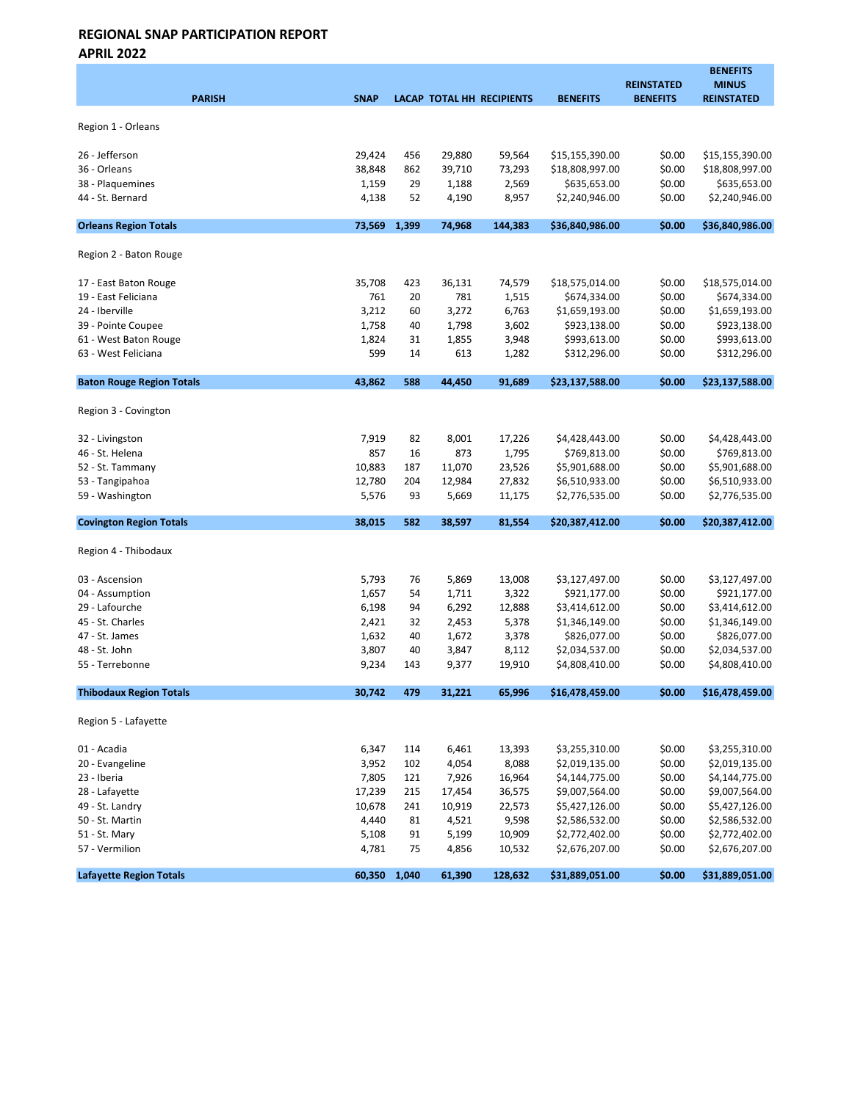APRIL 2022

| <b>PARISH</b>                    | <b>SNAP</b>    |          |                | <b>LACAP TOTAL HH RECIPIENTS</b> | <b>BENEFITS</b>                  | <b>REINSTATED</b><br><b>BENEFITS</b> | <b>BENEFITS</b><br><b>MINUS</b><br><b>REINSTATED</b> |
|----------------------------------|----------------|----------|----------------|----------------------------------|----------------------------------|--------------------------------------|------------------------------------------------------|
|                                  |                |          |                |                                  |                                  |                                      |                                                      |
| Region 1 - Orleans               |                |          |                |                                  |                                  |                                      |                                                      |
| 26 - Jefferson                   | 29,424         | 456      | 29,880         | 59,564                           | \$15,155,390.00                  | \$0.00                               | \$15,155,390.00                                      |
| 36 - Orleans                     | 38,848         | 862      | 39,710         | 73,293                           | \$18,808,997.00                  | \$0.00                               | \$18,808,997.00                                      |
| 38 - Plaquemines                 | 1,159          | 29       | 1,188          | 2,569                            | \$635,653.00                     | \$0.00                               | \$635,653.00                                         |
| 44 - St. Bernard                 | 4,138          | 52       | 4,190          | 8,957                            | \$2,240,946.00                   | \$0.00                               | \$2,240,946.00                                       |
| <b>Orleans Region Totals</b>     | 73,569         | 1,399    | 74,968         | 144,383                          | \$36,840,986.00                  | \$0.00                               | \$36,840,986.00                                      |
| Region 2 - Baton Rouge           |                |          |                |                                  |                                  |                                      |                                                      |
| 17 - East Baton Rouge            | 35,708         | 423      | 36,131         | 74,579                           | \$18,575,014.00                  | \$0.00                               | \$18,575,014.00                                      |
| 19 - East Feliciana              | 761            | 20       | 781            | 1,515                            | \$674,334.00                     | \$0.00                               | \$674,334.00                                         |
| 24 - Iberville                   | 3,212          | 60       | 3,272          | 6,763                            | \$1,659,193.00                   | \$0.00                               | \$1,659,193.00                                       |
| 39 - Pointe Coupee               | 1,758          | 40       | 1,798          | 3,602                            | \$923,138.00                     | \$0.00                               | \$923,138.00                                         |
| 61 - West Baton Rouge            | 1,824          | 31       | 1,855          | 3,948                            | \$993,613.00                     | \$0.00                               | \$993,613.00                                         |
| 63 - West Feliciana              | 599            | 14       | 613            | 1,282                            | \$312,296.00                     | \$0.00                               | \$312,296.00                                         |
| <b>Baton Rouge Region Totals</b> | 43.862         | 588      | 44,450         | 91.689                           | \$23,137,588.00                  | \$0.00                               | \$23,137,588.00                                      |
| Region 3 - Covington             |                |          |                |                                  |                                  |                                      |                                                      |
| 32 - Livingston                  | 7,919          | 82       | 8,001          | 17,226                           | \$4,428,443.00                   | \$0.00                               | \$4,428,443.00                                       |
| 46 - St. Helena                  | 857            | 16       | 873            | 1,795                            | \$769,813.00                     | \$0.00                               | \$769,813.00                                         |
| 52 - St. Tammany                 | 10,883         | 187      | 11,070         | 23,526                           | \$5,901,688.00                   | \$0.00                               | \$5,901,688.00                                       |
| 53 - Tangipahoa                  | 12,780         | 204      | 12,984         | 27,832                           | \$6,510,933.00                   | \$0.00                               | \$6,510,933.00                                       |
| 59 - Washington                  | 5,576          | 93       | 5,669          | 11,175                           | \$2,776,535.00                   | \$0.00                               | \$2,776,535.00                                       |
| <b>Covington Region Totals</b>   | 38,015         | 582      | 38,597         | 81,554                           | \$20,387,412.00                  | \$0.00                               | \$20,387,412.00                                      |
| Region 4 - Thibodaux             |                |          |                |                                  |                                  |                                      |                                                      |
| 03 - Ascension                   | 5,793          | 76       | 5,869          | 13,008                           | \$3,127,497.00                   | \$0.00                               | \$3,127,497.00                                       |
| 04 - Assumption                  | 1,657          | 54       | 1,711          | 3,322                            | \$921,177.00                     | \$0.00                               | \$921,177.00                                         |
| 29 - Lafourche                   | 6,198          | 94       | 6,292          | 12,888                           | \$3,414,612.00                   | \$0.00                               | \$3,414,612.00                                       |
| 45 - St. Charles                 | 2,421          | 32       | 2,453          | 5,378                            | \$1,346,149.00                   | \$0.00                               | \$1,346,149.00                                       |
| 47 - St. James                   | 1,632          | 40       | 1,672          | 3,378                            | \$826,077.00                     | \$0.00                               | \$826,077.00                                         |
| 48 - St. John                    | 3,807          | 40       | 3,847          | 8,112                            | \$2,034,537.00                   | \$0.00                               | \$2,034,537.00                                       |
| 55 - Terrebonne                  | 9,234          | 143      | 9,377          | 19,910                           | \$4,808,410.00                   | \$0.00                               | \$4,808,410.00                                       |
| <b>Thibodaux Region Totals</b>   | 30,742         | 479      | 31,221         | 65,996                           | \$16,478,459.00                  | \$0.00                               | \$16,478,459.00                                      |
| Region 5 - Lafayette             |                |          |                |                                  |                                  |                                      |                                                      |
| 01 - Acadia                      | 6,347          | 114      | 6,461          | 13,393                           | \$3,255,310.00                   | \$0.00                               | \$3,255,310.00                                       |
| 20 - Evangeline                  | 3,952          | 102      | 4,054          | 8,088                            | \$2,019,135.00                   | \$0.00                               | \$2,019,135.00                                       |
| 23 - Iberia                      | 7,805          | 121      | 7,926          | 16,964                           | \$4,144,775.00                   | \$0.00                               | \$4,144,775.00                                       |
| 28 - Lafayette                   | 17,239         | 215      | 17,454         | 36,575                           | \$9,007,564.00                   | \$0.00                               | \$9,007,564.00                                       |
| 49 - St. Landry                  | 10,678         | 241      | 10,919         | 22,573                           | \$5,427,126.00                   | \$0.00                               | \$5,427,126.00                                       |
| 50 - St. Martin                  | 4,440          | 81       | 4,521          | 9,598                            | \$2,586,532.00                   | \$0.00                               | \$2,586,532.00                                       |
| 51 - St. Mary<br>57 - Vermilion  | 5,108<br>4,781 | 91<br>75 | 5,199<br>4,856 | 10,909<br>10,532                 | \$2,772,402.00<br>\$2,676,207.00 | \$0.00<br>\$0.00                     | \$2,772,402.00<br>\$2,676,207.00                     |
| <b>Lafayette Region Totals</b>   | 60,350 1,040   |          | 61,390         | 128,632                          | \$31,889,051.00                  | \$0.00                               | \$31,889,051.00                                      |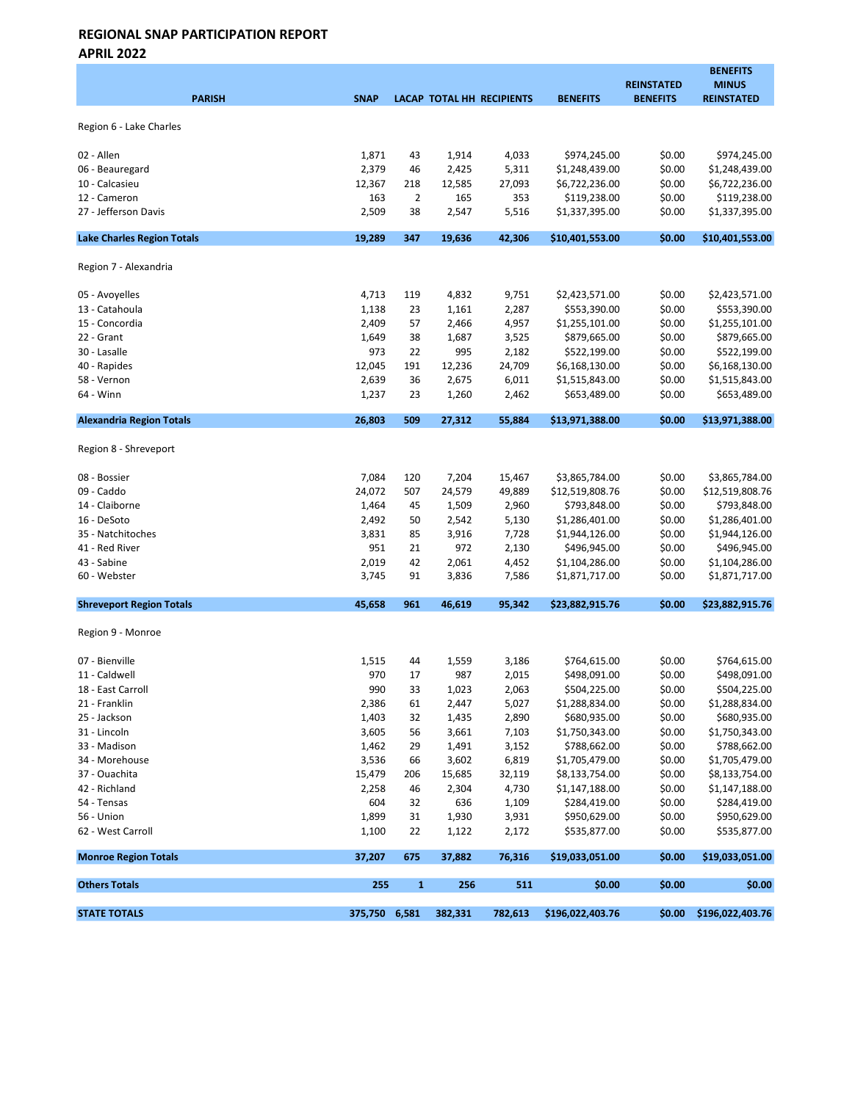APRIL 2022

| <b>PARISH</b>                     | <b>SNAP</b>   |                |         | LACAP TOTAL HH RECIPIENTS | <b>BENEFITS</b>  | <b>REINSTATED</b><br><b>BENEFITS</b> | <b>BENEFITS</b><br><b>MINUS</b><br><b>REINSTATED</b> |
|-----------------------------------|---------------|----------------|---------|---------------------------|------------------|--------------------------------------|------------------------------------------------------|
| Region 6 - Lake Charles           |               |                |         |                           |                  |                                      |                                                      |
| 02 - Allen                        | 1,871         | 43             | 1,914   | 4,033                     | \$974,245.00     | \$0.00                               | \$974,245.00                                         |
| 06 - Beauregard                   | 2,379         | 46             | 2,425   | 5,311                     | \$1,248,439.00   | \$0.00                               | \$1,248,439.00                                       |
| 10 - Calcasieu                    | 12,367        | 218            | 12,585  | 27,093                    | \$6,722,236.00   | \$0.00                               | \$6,722,236.00                                       |
| 12 - Cameron                      | 163           | $\overline{2}$ | 165     | 353                       | \$119,238.00     | \$0.00                               | \$119,238.00                                         |
| 27 - Jefferson Davis              | 2,509         | 38             | 2,547   | 5,516                     | \$1,337,395.00   | \$0.00                               | \$1,337,395.00                                       |
| <b>Lake Charles Region Totals</b> | 19,289        | 347            | 19,636  | 42,306                    | \$10,401,553.00  | \$0.00                               | \$10,401,553.00                                      |
| Region 7 - Alexandria             |               |                |         |                           |                  |                                      |                                                      |
| 05 - Avoyelles                    | 4,713         | 119            | 4,832   | 9,751                     | \$2,423,571.00   | \$0.00                               | \$2,423,571.00                                       |
| 13 - Catahoula                    | 1,138         | 23             | 1,161   | 2,287                     | \$553,390.00     | \$0.00                               | \$553,390.00                                         |
| 15 - Concordia                    | 2,409         | 57             | 2,466   | 4,957                     | \$1,255,101.00   | \$0.00                               | \$1,255,101.00                                       |
| 22 - Grant                        | 1,649         | 38             | 1,687   | 3,525                     | \$879,665.00     | \$0.00                               | \$879,665.00                                         |
| 30 - Lasalle                      | 973           | 22             | 995     | 2,182                     | \$522,199.00     | \$0.00                               | \$522,199.00                                         |
| 40 - Rapides                      | 12,045        | 191            | 12,236  | 24,709                    | \$6,168,130.00   | \$0.00                               | \$6,168,130.00                                       |
| 58 - Vernon                       | 2,639         | 36             | 2,675   | 6,011                     | \$1,515,843.00   | \$0.00                               | \$1,515,843.00                                       |
| 64 - Winn                         | 1,237         | 23             | 1,260   | 2,462                     | \$653,489.00     | \$0.00                               | \$653,489.00                                         |
| <b>Alexandria Region Totals</b>   | 26,803        | 509            | 27,312  | 55,884                    | \$13,971,388.00  | \$0.00                               | \$13,971,388.00                                      |
| Region 8 - Shreveport             |               |                |         |                           |                  |                                      |                                                      |
| 08 - Bossier                      | 7,084         | 120            | 7,204   | 15,467                    | \$3,865,784.00   | \$0.00                               | \$3,865,784.00                                       |
| 09 - Caddo                        | 24,072        | 507            | 24,579  | 49,889                    | \$12,519,808.76  | \$0.00                               | \$12,519,808.76                                      |
| 14 - Claiborne                    | 1,464         | 45             | 1,509   | 2,960                     | \$793,848.00     | \$0.00                               | \$793,848.00                                         |
| 16 - DeSoto                       | 2,492         | 50             | 2,542   | 5,130                     | \$1,286,401.00   | \$0.00                               | \$1,286,401.00                                       |
| 35 - Natchitoches                 | 3,831         | 85             | 3,916   | 7,728                     | \$1,944,126.00   | \$0.00                               | \$1,944,126.00                                       |
| 41 - Red River                    | 951           | 21             | 972     | 2,130                     | \$496,945.00     | \$0.00                               | \$496,945.00                                         |
| 43 - Sabine                       | 2,019         | 42             | 2,061   | 4,452                     | \$1,104,286.00   | \$0.00                               | \$1,104,286.00                                       |
| 60 - Webster                      | 3,745         | 91             | 3,836   | 7,586                     | \$1,871,717.00   | \$0.00                               | \$1,871,717.00                                       |
| <b>Shreveport Region Totals</b>   | 45,658        | 961            | 46,619  | 95,342                    | \$23,882,915.76  | \$0.00                               | \$23,882,915.76                                      |
| Region 9 - Monroe                 |               |                |         |                           |                  |                                      |                                                      |
| 07 - Bienville                    | 1,515         | 44             | 1,559   | 3,186                     | \$764,615.00     | \$0.00                               | \$764,615.00                                         |
| 11 - Caldwell                     | 970           | 17             | 987     | 2,015                     | \$498,091.00     | \$0.00                               | \$498,091.00                                         |
| 18 - East Carroll                 | 990           | 33             | 1,023   | 2,063                     | \$504,225.00     | \$0.00                               | \$504,225.00                                         |
| 21 - Franklin                     | 2,386         | 61             | 2,447   | 5,027                     | \$1,288,834.00   | \$0.00                               | \$1,288,834.00                                       |
| 25 - Jackson                      | 1,403         | 32             | 1,435   | 2,890                     | \$680,935.00     | \$0.00                               | \$680,935.00                                         |
| 31 - Lincoln                      | 3,605         | 56             | 3,661   | 7,103                     | \$1,750,343.00   | \$0.00                               | \$1,750,343.00                                       |
| 33 - Madison                      | 1,462         | 29             | 1,491   | 3,152                     | \$788,662.00     | \$0.00                               | \$788,662.00                                         |
| 34 - Morehouse                    | 3,536         | 66             | 3,602   | 6,819                     | \$1,705,479.00   | \$0.00                               | \$1,705,479.00                                       |
| 37 - Ouachita                     | 15,479        | 206            | 15,685  | 32,119                    | \$8,133,754.00   | \$0.00                               | \$8,133,754.00                                       |
| 42 - Richland                     | 2,258         | 46             | 2,304   | 4,730                     | \$1,147,188.00   | \$0.00                               | \$1,147,188.00                                       |
| 54 - Tensas                       | 604           | 32             | 636     | 1,109                     | \$284,419.00     | \$0.00                               | \$284,419.00                                         |
| 56 - Union                        | 1,899         | 31             | 1,930   | 3,931                     | \$950,629.00     | \$0.00                               | \$950,629.00                                         |
| 62 - West Carroll                 | 1,100         | 22             | 1,122   | 2,172                     | \$535,877.00     | \$0.00                               | \$535,877.00                                         |
| <b>Monroe Region Totals</b>       | 37,207        | 675            | 37,882  | 76,316                    | \$19,033,051.00  | \$0.00                               | \$19,033,051.00                                      |
| <b>Others Totals</b>              | 255           | $\mathbf{1}$   | 256     | 511                       | \$0.00           | \$0.00                               | \$0.00                                               |
| <b>STATE TOTALS</b>               | 375,750 6,581 |                | 382,331 | 782,613                   | \$196,022,403.76 | \$0.00                               | \$196,022,403.76                                     |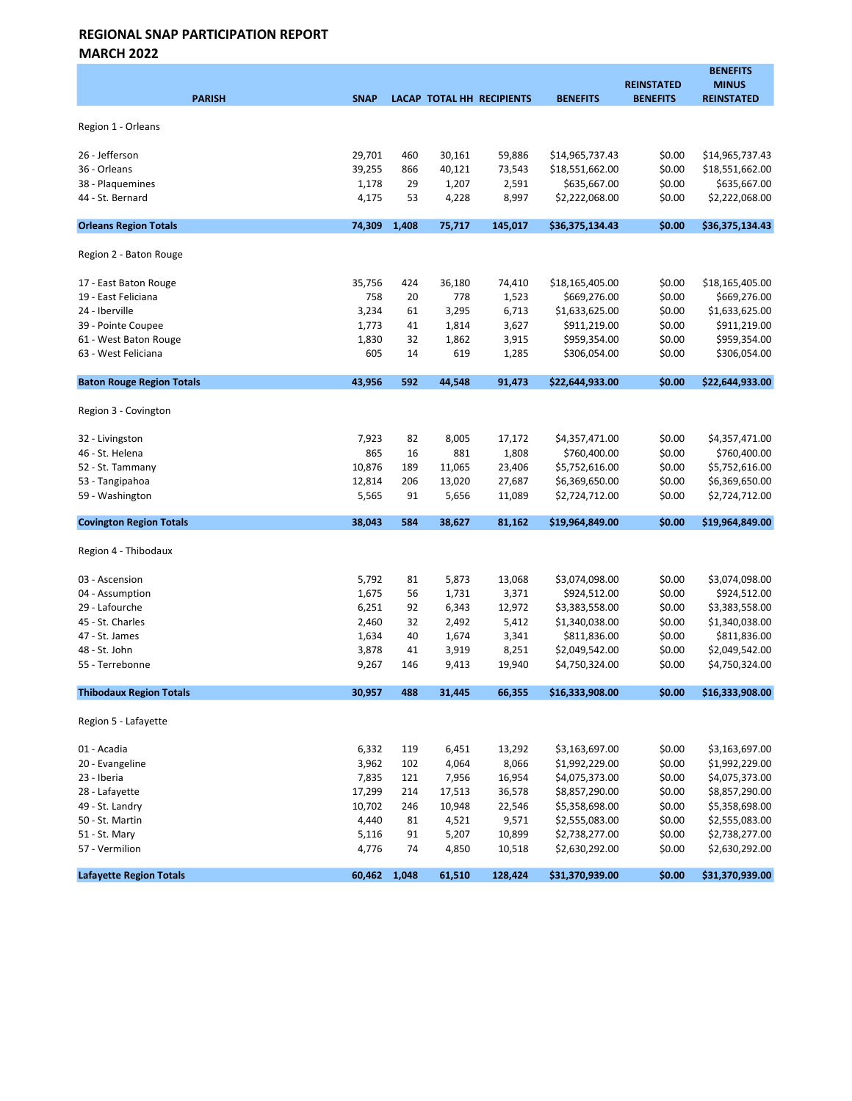MARCH 2022

| <b>PARISH</b>                    | <b>SNAP</b> |       |        | LACAP TOTAL HH RECIPIENTS | <b>BENEFITS</b> | <b>REINSTATED</b><br><b>BENEFITS</b> | <b>BENEFITS</b><br><b>MINUS</b><br><b>REINSTATED</b> |
|----------------------------------|-------------|-------|--------|---------------------------|-----------------|--------------------------------------|------------------------------------------------------|
| Region 1 - Orleans               |             |       |        |                           |                 |                                      |                                                      |
| 26 - Jefferson                   | 29,701      | 460   | 30,161 | 59,886                    | \$14,965,737.43 | \$0.00                               | \$14,965,737.43                                      |
| 36 - Orleans                     | 39,255      | 866   | 40,121 | 73,543                    | \$18,551,662.00 | \$0.00                               | \$18,551,662.00                                      |
| 38 - Plaquemines                 | 1,178       | 29    | 1,207  | 2,591                     | \$635,667.00    | \$0.00                               | \$635,667.00                                         |
| 44 - St. Bernard                 | 4,175       | 53    | 4,228  | 8,997                     | \$2,222,068.00  | \$0.00                               | \$2,222,068.00                                       |
| <b>Orleans Region Totals</b>     | 74,309      | 1,408 | 75,717 | 145,017                   | \$36,375,134.43 | \$0.00                               | \$36,375,134.43                                      |
| Region 2 - Baton Rouge           |             |       |        |                           |                 |                                      |                                                      |
| 17 - East Baton Rouge            | 35,756      | 424   | 36,180 | 74,410                    | \$18,165,405.00 | \$0.00                               | \$18,165,405.00                                      |
| 19 - East Feliciana              | 758         | 20    | 778    | 1,523                     | \$669,276.00    | \$0.00                               | \$669,276.00                                         |
| 24 - Iberville                   | 3,234       | 61    | 3,295  | 6,713                     | \$1,633,625.00  | \$0.00                               | \$1,633,625.00                                       |
| 39 - Pointe Coupee               | 1,773       | 41    | 1,814  | 3,627                     | \$911,219.00    | \$0.00                               | \$911,219.00                                         |
| 61 - West Baton Rouge            | 1,830       | 32    | 1,862  | 3,915                     | \$959,354.00    | \$0.00                               | \$959,354.00                                         |
| 63 - West Feliciana              | 605         | 14    | 619    | 1,285                     | \$306,054.00    | \$0.00                               | \$306,054.00                                         |
| <b>Baton Rouge Region Totals</b> | 43,956      | 592   | 44,548 | 91,473                    | \$22,644,933.00 | \$0.00                               | \$22,644,933.00                                      |
| Region 3 - Covington             |             |       |        |                           |                 |                                      |                                                      |
| 32 - Livingston                  | 7,923       | 82    | 8,005  | 17,172                    | \$4,357,471.00  | \$0.00                               | \$4,357,471.00                                       |
| 46 - St. Helena                  | 865         | 16    | 881    | 1,808                     | \$760,400.00    | \$0.00                               | \$760,400.00                                         |
| 52 - St. Tammany                 | 10,876      | 189   | 11,065 | 23,406                    | \$5,752,616.00  | \$0.00                               | \$5,752,616.00                                       |
| 53 - Tangipahoa                  | 12,814      | 206   | 13,020 | 27,687                    | \$6,369,650.00  | \$0.00                               | \$6,369,650.00                                       |
| 59 - Washington                  | 5,565       | 91    | 5,656  | 11,089                    | \$2,724,712.00  | \$0.00                               | \$2,724,712.00                                       |
| <b>Covington Region Totals</b>   | 38,043      | 584   | 38,627 | 81,162                    | \$19,964,849.00 | \$0.00                               | \$19,964,849.00                                      |
| Region 4 - Thibodaux             |             |       |        |                           |                 |                                      |                                                      |
| 03 - Ascension                   | 5,792       | 81    | 5,873  | 13,068                    | \$3,074,098.00  | \$0.00                               | \$3,074,098.00                                       |
| 04 - Assumption                  | 1,675       | 56    | 1,731  | 3,371                     | \$924,512.00    | \$0.00                               | \$924,512.00                                         |
| 29 - Lafourche                   | 6,251       | 92    | 6,343  | 12,972                    | \$3,383,558.00  | \$0.00                               | \$3,383,558.00                                       |
| 45 - St. Charles                 | 2,460       | 32    | 2,492  | 5,412                     | \$1,340,038.00  | \$0.00                               | \$1,340,038.00                                       |
| 47 - St. James                   | 1,634       | 40    | 1,674  | 3,341                     | \$811,836.00    | \$0.00                               | \$811,836.00                                         |
| 48 - St. John                    | 3,878       | 41    | 3,919  | 8,251                     | \$2,049,542.00  | \$0.00                               | \$2,049,542.00                                       |
| 55 - Terrebonne                  | 9,267       | 146   | 9,413  | 19,940                    | \$4,750,324.00  | \$0.00                               | \$4,750,324.00                                       |
| <b>Thibodaux Region Totals</b>   | 30,957      | 488   | 31,445 | 66,355                    | \$16,333,908.00 | \$0.00                               | \$16,333,908.00                                      |
| Region 5 - Lafayette             |             |       |        |                           |                 |                                      |                                                      |
| 01 - Acadia                      | 6,332       | 119   | 6,451  | 13,292                    | \$3,163,697.00  | \$0.00                               | \$3,163,697.00                                       |
| 20 - Evangeline                  | 3,962       | 102   | 4,064  | 8,066                     | \$1,992,229.00  | \$0.00                               | \$1,992,229.00                                       |
| 23 - Iberia                      | 7,835       | 121   | 7,956  | 16,954                    | \$4,075,373.00  | \$0.00                               | \$4,075,373.00                                       |
| 28 - Lafayette                   | 17,299      | 214   | 17,513 | 36,578                    | \$8,857,290.00  | \$0.00                               | \$8,857,290.00                                       |
| 49 - St. Landry                  | 10,702      | 246   | 10,948 | 22,546                    | \$5,358,698.00  | \$0.00                               | \$5,358,698.00                                       |
| 50 - St. Martin                  | 4,440       | 81    | 4,521  | 9,571                     | \$2,555,083.00  | \$0.00                               | \$2,555,083.00                                       |
| 51 - St. Mary                    | 5,116       | 91    | 5,207  | 10,899                    | \$2,738,277.00  | \$0.00                               | \$2,738,277.00                                       |
| 57 - Vermilion                   | 4,776       | 74    | 4,850  | 10,518                    | \$2,630,292.00  | \$0.00                               | \$2,630,292.00                                       |
| <b>Lafayette Region Totals</b>   | 60,462      | 1,048 | 61,510 | 128,424                   | \$31,370,939.00 | \$0.00                               | \$31,370,939.00                                      |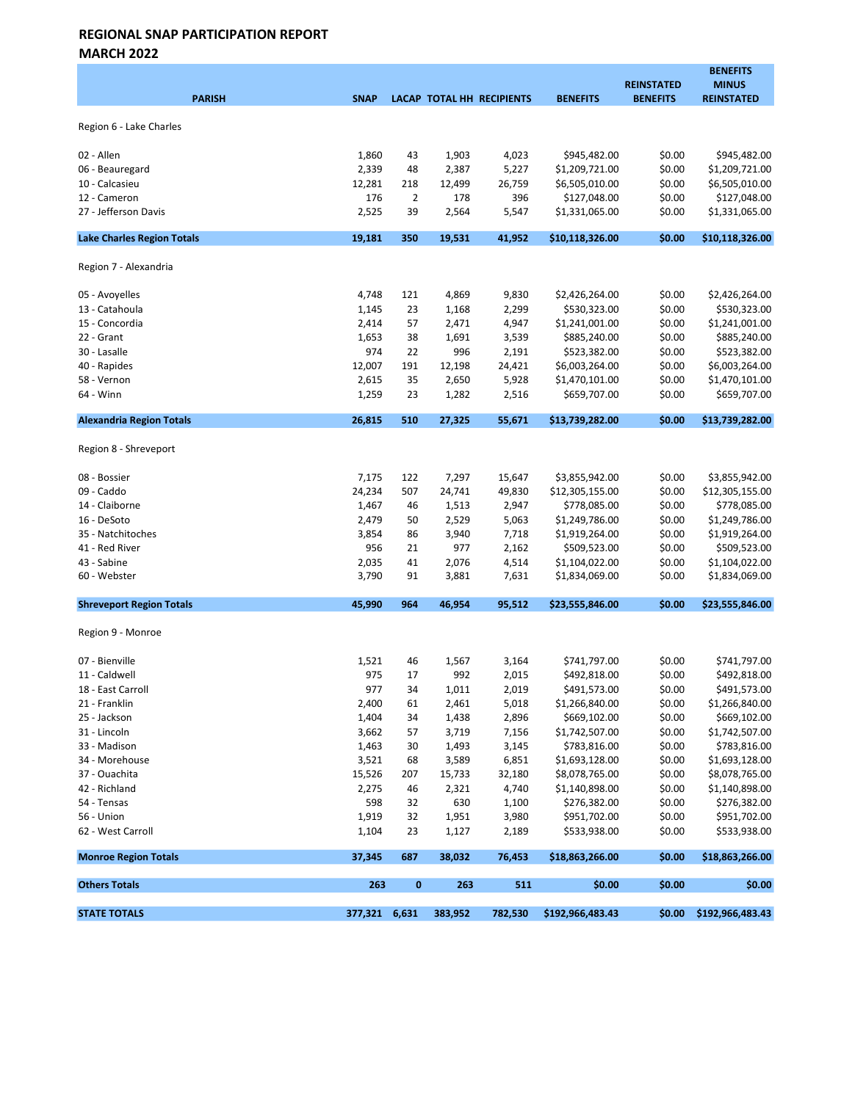MARCH 2022

| <b>PARISH</b>                     | <b>SNAP</b>   |                |         | LACAP TOTAL HH RECIPIENTS | <b>BENEFITS</b>  | <b>REINSTATED</b><br><b>BENEFITS</b> | <b>BENEFITS</b><br><b>MINUS</b><br><b>REINSTATED</b> |
|-----------------------------------|---------------|----------------|---------|---------------------------|------------------|--------------------------------------|------------------------------------------------------|
| Region 6 - Lake Charles           |               |                |         |                           |                  |                                      |                                                      |
| 02 - Allen                        | 1,860         | 43             | 1,903   | 4,023                     | \$945,482.00     | \$0.00                               | \$945,482.00                                         |
| 06 - Beauregard                   | 2,339         | 48             | 2,387   | 5,227                     | \$1,209,721.00   | \$0.00                               | \$1,209,721.00                                       |
| 10 - Calcasieu                    | 12,281        | 218            | 12,499  | 26,759                    | \$6,505,010.00   | \$0.00                               | \$6,505,010.00                                       |
| 12 - Cameron                      | 176           | $\overline{2}$ | 178     | 396                       | \$127,048.00     | \$0.00                               | \$127,048.00                                         |
| 27 - Jefferson Davis              | 2,525         | 39             | 2,564   | 5,547                     | \$1,331,065.00   | \$0.00                               | \$1,331,065.00                                       |
| <b>Lake Charles Region Totals</b> | 19,181        | 350            | 19,531  | 41,952                    | \$10,118,326.00  | \$0.00                               | \$10,118,326.00                                      |
| Region 7 - Alexandria             |               |                |         |                           |                  |                                      |                                                      |
| 05 - Avoyelles                    | 4,748         | 121            | 4,869   | 9,830                     | \$2,426,264.00   | \$0.00                               | \$2,426,264.00                                       |
| 13 - Catahoula                    | 1,145         | 23             | 1,168   | 2,299                     | \$530,323.00     | \$0.00                               | \$530,323.00                                         |
| 15 - Concordia                    | 2,414         | 57             | 2,471   | 4,947                     | \$1,241,001.00   | \$0.00                               | \$1,241,001.00                                       |
| 22 - Grant                        | 1,653         | 38             | 1,691   | 3,539                     | \$885,240.00     | \$0.00                               | \$885,240.00                                         |
| 30 - Lasalle                      | 974           | 22             | 996     | 2,191                     | \$523,382.00     | \$0.00                               | \$523,382.00                                         |
| 40 - Rapides                      | 12,007        | 191            | 12,198  | 24,421                    | \$6,003,264.00   | \$0.00                               | \$6,003,264.00                                       |
| 58 - Vernon                       | 2,615         | 35             | 2,650   | 5,928                     | \$1,470,101.00   | \$0.00                               | \$1,470,101.00                                       |
| 64 - Winn                         | 1,259         | 23             | 1,282   | 2,516                     | \$659,707.00     | \$0.00                               | \$659,707.00                                         |
| <b>Alexandria Region Totals</b>   | 26,815        | 510            | 27,325  | 55,671                    | \$13,739,282.00  | \$0.00                               | \$13,739,282.00                                      |
| Region 8 - Shreveport             |               |                |         |                           |                  |                                      |                                                      |
| 08 - Bossier                      | 7,175         | 122            | 7,297   | 15,647                    | \$3,855,942.00   | \$0.00                               | \$3,855,942.00                                       |
| 09 - Caddo                        | 24,234        | 507            | 24,741  | 49,830                    | \$12,305,155.00  | \$0.00                               | \$12,305,155.00                                      |
| 14 - Claiborne                    | 1,467         | 46             | 1,513   | 2,947                     | \$778,085.00     | \$0.00                               | \$778,085.00                                         |
| 16 - DeSoto                       | 2,479         | 50             | 2,529   | 5,063                     | \$1,249,786.00   | \$0.00                               | \$1,249,786.00                                       |
| 35 - Natchitoches                 | 3,854         | 86             | 3,940   | 7,718                     | \$1,919,264.00   | \$0.00                               | \$1,919,264.00                                       |
| 41 - Red River                    | 956           | 21             | 977     | 2,162                     | \$509,523.00     | \$0.00                               | \$509,523.00                                         |
| 43 - Sabine                       | 2,035         | 41             | 2,076   | 4,514                     | \$1,104,022.00   | \$0.00                               | \$1,104,022.00                                       |
| 60 - Webster                      | 3,790         | 91             | 3,881   | 7,631                     | \$1,834,069.00   | \$0.00                               | \$1,834,069.00                                       |
| <b>Shreveport Region Totals</b>   | 45.990        | 964            | 46.954  | 95,512                    | \$23,555,846.00  | \$0.00                               | \$23,555,846.00                                      |
| Region 9 - Monroe                 |               |                |         |                           |                  |                                      |                                                      |
| 07 - Bienville                    | 1,521         | 46             | 1,567   | 3,164                     | \$741,797.00     | \$0.00                               | \$741,797.00                                         |
| 11 - Caldwell                     | 975           | 17             | 992     | 2,015                     | \$492,818.00     | \$0.00                               | \$492,818.00                                         |
| 18 - East Carroll                 | 977           | 34             | 1,011   | 2,019                     | \$491,573.00     | \$0.00                               | \$491,573.00                                         |
| 21 - Franklin                     | 2,400         | 61             | 2,461   | 5,018                     | \$1,266,840.00   | \$0.00                               | \$1,266,840.00                                       |
| 25 - Jackson                      | 1,404         | 34             | 1,438   | 2,896                     | \$669,102.00     | \$0.00                               | \$669,102.00                                         |
| 31 - Lincoln                      | 3,662         | 57             | 3,719   | 7,156                     | \$1,742,507.00   | \$0.00                               | \$1,742,507.00                                       |
| 33 - Madison                      | 1,463         | 30             | 1,493   | 3,145                     | \$783,816.00     | \$0.00                               | \$783,816.00                                         |
| 34 - Morehouse                    | 3,521         | 68             | 3,589   | 6,851                     | \$1,693,128.00   | \$0.00                               | \$1,693,128.00                                       |
| 37 - Ouachita                     | 15,526        | 207            | 15,733  | 32,180                    | \$8,078,765.00   | \$0.00                               | \$8,078,765.00                                       |
| 42 - Richland                     | 2,275         | 46             | 2,321   | 4,740                     | \$1,140,898.00   | \$0.00                               | \$1,140,898.00                                       |
| 54 - Tensas                       | 598           | 32             | 630     | 1,100                     | \$276,382.00     | \$0.00                               | \$276,382.00                                         |
| 56 - Union                        | 1,919         | 32             | 1,951   | 3,980                     | \$951,702.00     | \$0.00                               | \$951,702.00                                         |
| 62 - West Carroll                 | 1,104         | 23             | 1,127   | 2,189                     | \$533,938.00     | \$0.00                               | \$533,938.00                                         |
| <b>Monroe Region Totals</b>       | 37,345        | 687            | 38,032  | 76,453                    | \$18,863,266.00  | \$0.00                               | \$18,863,266.00                                      |
| <b>Others Totals</b>              | 263           | $\bf{0}$       | 263     | 511                       | \$0.00           | \$0.00                               | \$0.00                                               |
| <b>STATE TOTALS</b>               | 377,321 6,631 |                | 383,952 | 782,530                   | \$192,966,483.43 | \$0.00                               | \$192,966,483.43                                     |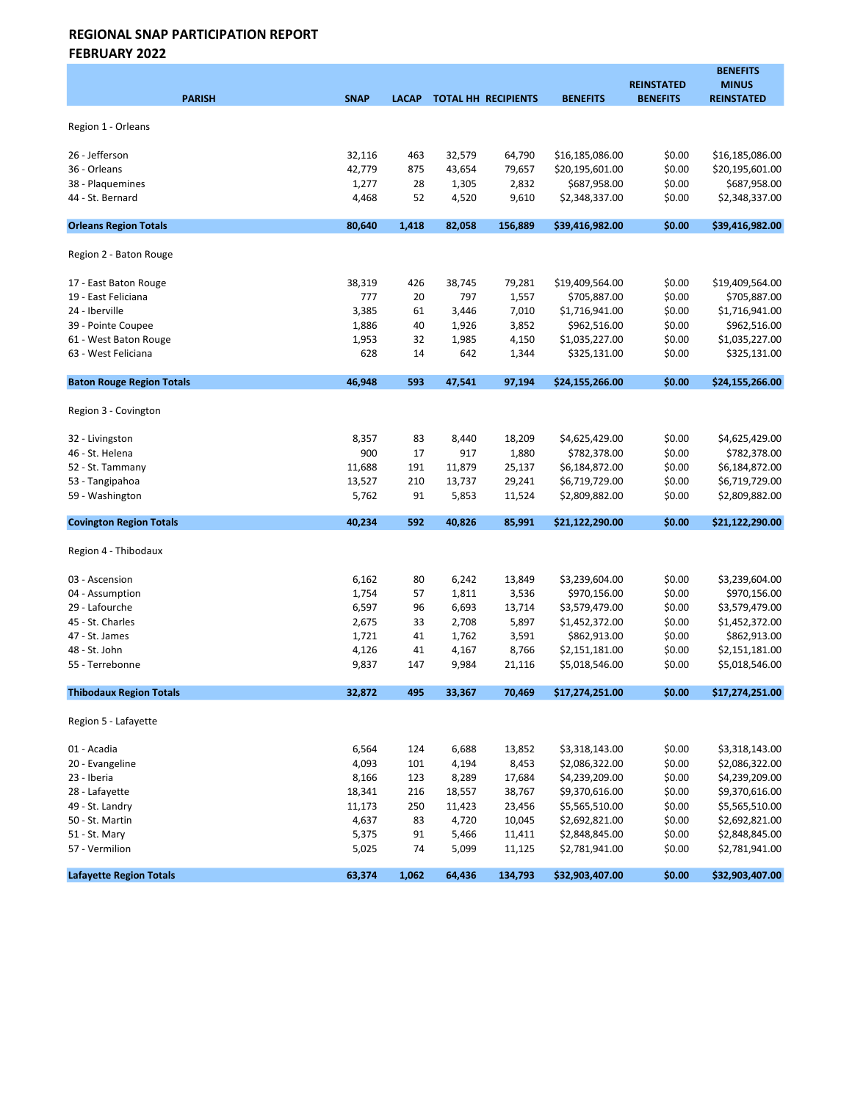FEBRUARY 2022

|                                  |             |              |        |                            |                 | <b>REINSTATED</b> | <b>BENEFITS</b><br><b>MINUS</b> |
|----------------------------------|-------------|--------------|--------|----------------------------|-----------------|-------------------|---------------------------------|
| <b>PARISH</b>                    | <b>SNAP</b> | <b>LACAP</b> |        | <b>TOTAL HH RECIPIENTS</b> | <b>BENEFITS</b> | <b>BENEFITS</b>   | <b>REINSTATED</b>               |
| Region 1 - Orleans               |             |              |        |                            |                 |                   |                                 |
| 26 - Jefferson                   | 32,116      | 463          | 32,579 | 64,790                     | \$16,185,086.00 | \$0.00            | \$16,185,086.00                 |
| 36 - Orleans                     | 42,779      | 875          | 43,654 | 79,657                     | \$20,195,601.00 | \$0.00            | \$20,195,601.00                 |
| 38 - Plaquemines                 | 1,277       | 28           | 1,305  | 2,832                      | \$687,958.00    | \$0.00            | \$687,958.00                    |
| 44 - St. Bernard                 | 4,468       | 52           | 4,520  | 9,610                      | \$2,348,337.00  | \$0.00            | \$2,348,337.00                  |
| <b>Orleans Region Totals</b>     | 80,640      | 1,418        | 82,058 | 156,889                    | \$39,416,982.00 | \$0.00            | \$39,416,982.00                 |
| Region 2 - Baton Rouge           |             |              |        |                            |                 |                   |                                 |
| 17 - East Baton Rouge            | 38,319      | 426          | 38,745 | 79,281                     | \$19,409,564.00 | \$0.00            | \$19,409,564.00                 |
| 19 - East Feliciana              | 777         | 20           | 797    | 1,557                      | \$705,887.00    | \$0.00            | \$705,887.00                    |
| 24 - Iberville                   | 3,385       | 61           | 3,446  | 7,010                      | \$1,716,941.00  | \$0.00            | \$1,716,941.00                  |
| 39 - Pointe Coupee               | 1,886       | 40           | 1,926  | 3,852                      | \$962,516.00    | \$0.00            | \$962,516.00                    |
| 61 - West Baton Rouge            | 1,953       | 32           | 1,985  | 4,150                      | \$1,035,227.00  | \$0.00            | \$1,035,227.00                  |
| 63 - West Feliciana              | 628         | 14           | 642    | 1,344                      | \$325,131.00    | \$0.00            | \$325,131.00                    |
| <b>Baton Rouge Region Totals</b> | 46,948      | 593          | 47,541 | 97,194                     | \$24,155,266.00 | \$0.00            | \$24,155,266.00                 |
| Region 3 - Covington             |             |              |        |                            |                 |                   |                                 |
| 32 - Livingston                  | 8,357       | 83           | 8,440  | 18,209                     | \$4,625,429.00  | \$0.00            | \$4,625,429.00                  |
| 46 - St. Helena                  | 900         | 17           | 917    | 1,880                      | \$782,378.00    | \$0.00            | \$782,378.00                    |
| 52 - St. Tammany                 | 11,688      | 191          | 11,879 | 25,137                     | \$6,184,872.00  | \$0.00            | \$6,184,872.00                  |
| 53 - Tangipahoa                  | 13,527      | 210          | 13,737 | 29,241                     | \$6,719,729.00  | \$0.00            | \$6,719,729.00                  |
| 59 - Washington                  | 5,762       | 91           | 5,853  | 11,524                     | \$2,809,882.00  | \$0.00            | \$2,809,882.00                  |
| <b>Covington Region Totals</b>   | 40,234      | 592          | 40,826 | 85,991                     | \$21,122,290.00 | \$0.00            | \$21,122,290.00                 |
| Region 4 - Thibodaux             |             |              |        |                            |                 |                   |                                 |
| 03 - Ascension                   | 6,162       | 80           | 6,242  | 13,849                     | \$3,239,604.00  | \$0.00            | \$3,239,604.00                  |
| 04 - Assumption                  | 1,754       | 57           | 1,811  | 3,536                      | \$970,156.00    | \$0.00            | \$970,156.00                    |
| 29 - Lafourche                   | 6,597       | 96           | 6,693  | 13,714                     | \$3,579,479.00  | \$0.00            | \$3,579,479.00                  |
| 45 - St. Charles                 | 2,675       | 33           | 2,708  | 5,897                      | \$1,452,372.00  | \$0.00            | \$1,452,372.00                  |
| 47 - St. James                   | 1,721       | 41           | 1,762  | 3,591                      | \$862,913.00    | \$0.00            | \$862,913.00                    |
| 48 - St. John                    | 4,126       | 41           | 4,167  | 8,766                      | \$2,151,181.00  | \$0.00            | \$2,151,181.00                  |
| 55 - Terrebonne                  | 9,837       | 147          | 9,984  | 21,116                     | \$5,018,546.00  | \$0.00            | \$5,018,546.00                  |
| <b>Thibodaux Region Totals</b>   | 32,872      | 495          | 33,367 | 70,469                     | \$17,274,251.00 | \$0.00            | \$17,274,251.00                 |
| Region 5 - Lafayette             |             |              |        |                            |                 |                   |                                 |
| 01 - Acadia                      | 6,564       | 124          | 6,688  | 13,852                     | \$3,318,143.00  | \$0.00            | \$3,318,143.00                  |
| 20 - Evangeline                  | 4,093       | 101          | 4,194  | 8,453                      | \$2,086,322.00  | \$0.00            | \$2,086,322.00                  |
| 23 - Iberia                      | 8,166       | 123          | 8,289  | 17,684                     | \$4,239,209.00  | \$0.00            | \$4,239,209.00                  |
| 28 - Lafayette                   | 18,341      | 216          | 18,557 | 38,767                     | \$9,370,616.00  | \$0.00            | \$9,370,616.00                  |
| 49 - St. Landry                  | 11,173      | 250          | 11,423 | 23,456                     | \$5,565,510.00  | \$0.00            | \$5,565,510.00                  |
| 50 - St. Martin                  | 4,637       | 83           | 4,720  | 10,045                     | \$2,692,821.00  | \$0.00            | \$2,692,821.00                  |
| 51 - St. Mary                    | 5,375       | 91           | 5,466  | 11,411                     | \$2,848,845.00  | \$0.00            | \$2,848,845.00                  |
| 57 - Vermilion                   | 5,025       | 74           | 5,099  | 11,125                     | \$2,781,941.00  | \$0.00            | \$2,781,941.00                  |
| <b>Lafayette Region Totals</b>   | 63,374      | 1,062        | 64,436 | 134,793                    | \$32,903,407.00 | \$0.00            | \$32,903,407.00                 |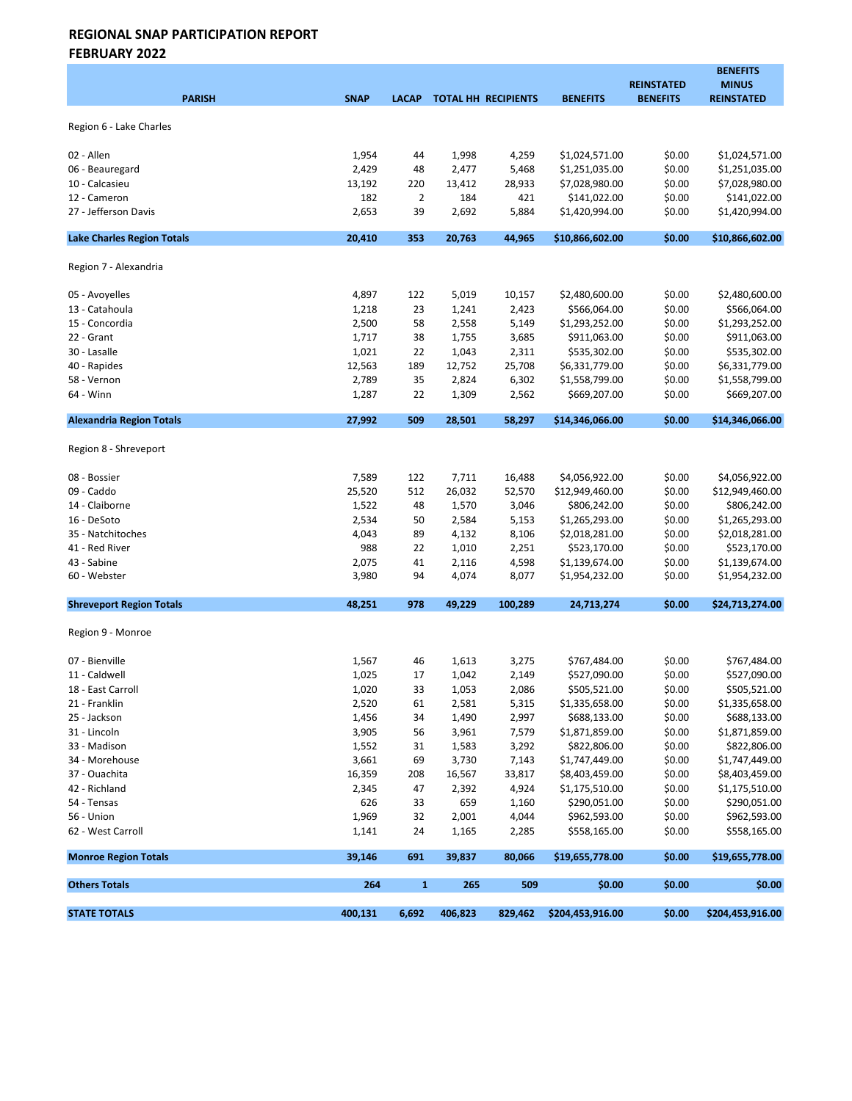FEBRUARY 2022

| <b>PARISH</b>                     | <b>SNAP</b>     | <b>LACAP</b>   |               | <b>TOTAL HH RECIPIENTS</b> | <b>BENEFITS</b>                  | <b>REINSTATED</b><br><b>BENEFITS</b> | <b>BENEFITS</b><br><b>MINUS</b><br><b>REINSTATED</b> |
|-----------------------------------|-----------------|----------------|---------------|----------------------------|----------------------------------|--------------------------------------|------------------------------------------------------|
| Region 6 - Lake Charles           |                 |                |               |                            |                                  |                                      |                                                      |
|                                   |                 |                |               |                            |                                  |                                      |                                                      |
| 02 - Allen                        | 1,954           | 44             | 1,998         | 4,259                      | \$1,024,571.00                   | \$0.00                               | \$1,024,571.00                                       |
| 06 - Beauregard<br>10 - Calcasieu | 2,429<br>13,192 | 48<br>220      | 2,477         | 5,468<br>28,933            | \$1,251,035.00<br>\$7,028,980.00 | \$0.00<br>\$0.00                     | \$1,251,035.00<br>\$7,028,980.00                     |
| 12 - Cameron                      | 182             | $\overline{2}$ | 13,412<br>184 | 421                        | \$141,022.00                     | \$0.00                               | \$141,022.00                                         |
| 27 - Jefferson Davis              | 2,653           | 39             | 2,692         | 5,884                      | \$1,420,994.00                   | \$0.00                               | \$1,420,994.00                                       |
| <b>Lake Charles Region Totals</b> | 20,410          | 353            | 20,763        | 44,965                     | \$10,866,602.00                  | \$0.00                               | \$10,866,602.00                                      |
|                                   |                 |                |               |                            |                                  |                                      |                                                      |
| Region 7 - Alexandria             |                 |                |               |                            |                                  |                                      |                                                      |
| 05 - Avoyelles                    | 4,897           | 122            | 5,019         | 10,157                     | \$2,480,600.00                   | \$0.00                               | \$2,480,600.00                                       |
| 13 - Catahoula                    | 1,218           | 23             | 1,241         | 2,423                      | \$566,064.00                     | \$0.00                               | \$566,064.00                                         |
| 15 - Concordia                    | 2,500           | 58             | 2,558         | 5,149                      | \$1,293,252.00                   | \$0.00                               | \$1,293,252.00                                       |
| 22 - Grant                        | 1,717           | 38             | 1,755         | 3,685                      | \$911,063.00                     | \$0.00                               | \$911,063.00                                         |
| 30 - Lasalle                      | 1,021           | 22             | 1,043         | 2,311                      | \$535,302.00                     | \$0.00                               | \$535,302.00                                         |
| 40 - Rapides                      | 12,563          | 189            | 12,752        | 25,708                     | \$6,331,779.00                   | \$0.00                               | \$6,331,779.00                                       |
| 58 - Vernon                       | 2,789           | 35             | 2,824         | 6,302                      | \$1,558,799.00                   | \$0.00                               | \$1,558,799.00                                       |
| 64 - Winn                         | 1,287           | 22             | 1,309         | 2,562                      | \$669,207.00                     | \$0.00                               | \$669,207.00                                         |
| <b>Alexandria Region Totals</b>   | 27,992          | 509            | 28,501        | 58,297                     | \$14,346,066.00                  | \$0.00                               | \$14,346,066.00                                      |
| Region 8 - Shreveport             |                 |                |               |                            |                                  |                                      |                                                      |
| 08 - Bossier                      | 7,589           | 122            | 7,711         | 16,488                     | \$4,056,922.00                   | \$0.00                               | \$4,056,922.00                                       |
| 09 - Caddo                        | 25,520          | 512            | 26,032        | 52,570                     | \$12,949,460.00                  | \$0.00                               | \$12,949,460.00                                      |
| 14 - Claiborne                    | 1,522           | 48             | 1,570         | 3,046                      | \$806,242.00                     | \$0.00                               | \$806,242.00                                         |
| 16 - DeSoto                       | 2,534           | 50             | 2,584         | 5,153                      | \$1,265,293.00                   | \$0.00                               | \$1,265,293.00                                       |
| 35 - Natchitoches                 | 4,043           | 89             | 4,132         | 8,106                      | \$2,018,281.00                   | \$0.00                               | \$2,018,281.00                                       |
| 41 - Red River                    | 988             | 22             | 1,010         | 2,251                      | \$523,170.00                     | \$0.00                               | \$523,170.00                                         |
| 43 - Sabine                       | 2,075           | 41             | 2,116         | 4,598                      | \$1,139,674.00                   | \$0.00                               | \$1,139,674.00                                       |
| 60 - Webster                      | 3,980           | 94             | 4,074         | 8,077                      | \$1,954,232.00                   | \$0.00                               | \$1,954,232.00                                       |
| <b>Shreveport Region Totals</b>   | 48,251          | 978            | 49,229        | 100,289                    | 24,713,274                       | \$0.00                               | \$24,713,274.00                                      |
| Region 9 - Monroe                 |                 |                |               |                            |                                  |                                      |                                                      |
| 07 - Bienville                    | 1,567           | 46             | 1,613         | 3,275                      | \$767,484.00                     | \$0.00                               | \$767,484.00                                         |
| 11 - Caldwell                     | 1,025           | 17             | 1,042         | 2,149                      | \$527,090.00                     | \$0.00                               | \$527,090.00                                         |
| 18 - East Carroll                 | 1,020           | 33             | 1,053         | 2,086                      | \$505,521.00                     | \$0.00                               | \$505,521.00                                         |
| 21 - Franklin                     | 2,520           | 61             | 2,581         | 5,315                      | \$1,335,658.00                   | \$0.00                               | \$1,335,658.00                                       |
| 25 - Jackson                      | 1,456           | 34             | 1,490         | 2,997                      | \$688,133.00                     | \$0.00                               | \$688,133.00                                         |
| 31 - Lincoln                      | 3,905           | 56             | 3,961         | 7,579                      | \$1,871,859.00                   | \$0.00                               | \$1,871,859.00                                       |
| 33 - Madison                      | 1,552           | 31             | 1,583         | 3,292                      | \$822,806.00                     | \$0.00                               | \$822,806.00                                         |
| 34 - Morehouse                    | 3,661           | 69             | 3,730         | 7,143                      | \$1,747,449.00                   | \$0.00                               | \$1,747,449.00                                       |
| 37 - Ouachita                     | 16,359          | 208            | 16,567        | 33,817                     | \$8,403,459.00                   | \$0.00                               | \$8,403,459.00                                       |
| 42 - Richland                     | 2,345           | 47             | 2,392         | 4,924                      | \$1,175,510.00                   | \$0.00                               | \$1,175,510.00                                       |
| 54 - Tensas                       | 626             | 33             | 659           | 1,160                      | \$290,051.00                     | \$0.00                               | \$290,051.00                                         |
| 56 - Union                        | 1,969           | 32             | 2,001         | 4,044                      | \$962,593.00                     | \$0.00                               | \$962,593.00                                         |
| 62 - West Carroll                 | 1,141           | 24             | 1,165         | 2,285                      | \$558,165.00                     | \$0.00                               | \$558,165.00                                         |
| <b>Monroe Region Totals</b>       | 39,146          | 691            | 39,837        | 80,066                     | \$19,655,778.00                  | \$0.00                               | \$19,655,778.00                                      |
| <b>Others Totals</b>              | 264             | $\mathbf{1}$   | 265           | 509                        | \$0.00                           | \$0.00                               | \$0.00                                               |
| <b>STATE TOTALS</b>               | 400,131         | 6,692          | 406,823       | 829,462                    | \$204,453,916.00                 | \$0.00                               | \$204,453,916.00                                     |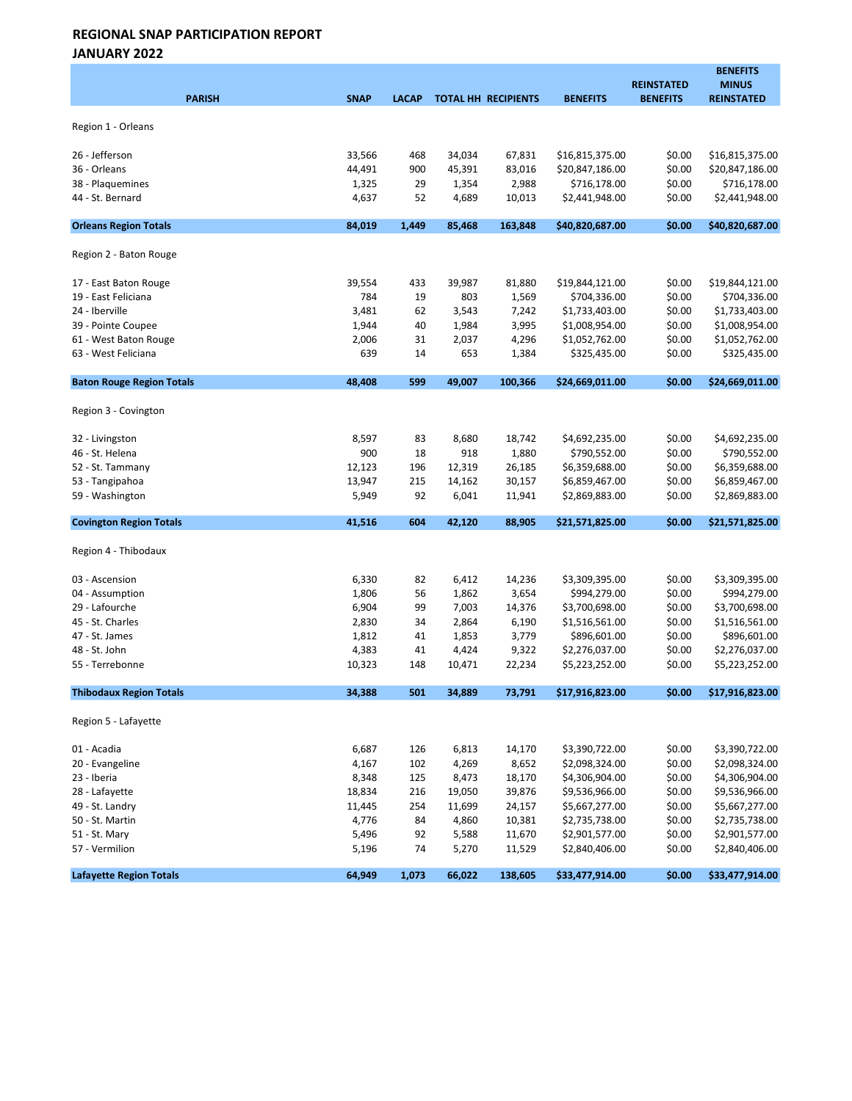JANUARY 2022

| <b>PARISH</b>                    | <b>SNAP</b>    | <b>LACAP</b> |                | TOTAL HH RECIPIENTS | <b>BENEFITS</b>                  | <b>REINSTATED</b><br><b>BENEFITS</b> | <b>BENEFITS</b><br><b>MINUS</b><br><b>REINSTATED</b> |
|----------------------------------|----------------|--------------|----------------|---------------------|----------------------------------|--------------------------------------|------------------------------------------------------|
| Region 1 - Orleans               |                |              |                |                     |                                  |                                      |                                                      |
| 26 - Jefferson                   | 33,566         | 468          | 34,034         | 67,831              | \$16,815,375.00                  | \$0.00                               | \$16,815,375.00                                      |
| 36 - Orleans                     | 44,491         | 900          | 45,391         | 83,016              | \$20,847,186.00                  | \$0.00                               | \$20,847,186.00                                      |
| 38 - Plaquemines                 | 1,325          | 29           | 1,354          | 2,988               | \$716,178.00                     | \$0.00                               | \$716,178.00                                         |
| 44 - St. Bernard                 | 4,637          | 52           | 4,689          | 10,013              | \$2,441,948.00                   | \$0.00                               | \$2,441,948.00                                       |
| <b>Orleans Region Totals</b>     | 84,019         | 1,449        | 85.468         | 163,848             | \$40,820,687.00                  | \$0.00                               | \$40,820,687.00                                      |
| Region 2 - Baton Rouge           |                |              |                |                     |                                  |                                      |                                                      |
| 17 - East Baton Rouge            | 39,554         | 433          | 39,987         | 81,880              | \$19,844,121.00                  | \$0.00                               | \$19,844,121.00                                      |
| 19 - East Feliciana              | 784            | 19           | 803            | 1,569               | \$704,336.00                     | \$0.00                               | \$704,336.00                                         |
| 24 - Iberville                   | 3,481          | 62           | 3,543          | 7,242               | \$1,733,403.00                   | \$0.00                               | \$1,733,403.00                                       |
| 39 - Pointe Coupee               | 1,944          | 40           | 1,984          | 3,995               | \$1,008,954.00                   | \$0.00                               | \$1,008,954.00                                       |
| 61 - West Baton Rouge            | 2,006          | 31           | 2,037          | 4,296               | \$1,052,762.00                   | \$0.00                               | \$1,052,762.00                                       |
| 63 - West Feliciana              | 639            | 14           | 653            | 1,384               | \$325,435.00                     | \$0.00                               | \$325,435.00                                         |
| <b>Baton Rouge Region Totals</b> | 48.408         | 599          | 49,007         | 100,366             | \$24,669,011.00                  | \$0.00                               | \$24,669,011.00                                      |
| Region 3 - Covington             |                |              |                |                     |                                  |                                      |                                                      |
| 32 - Livingston                  | 8,597          | 83           | 8,680          | 18,742              | \$4,692,235.00                   | \$0.00                               | \$4,692,235.00                                       |
| 46 - St. Helena                  | 900            | 18           | 918            | 1,880               | \$790,552.00                     | \$0.00                               | \$790,552.00                                         |
| 52 - St. Tammany                 | 12,123         | 196          | 12,319         | 26,185              | \$6,359,688.00                   | \$0.00                               | \$6,359,688.00                                       |
| 53 - Tangipahoa                  | 13,947         | 215          | 14,162         | 30,157              | \$6,859,467.00                   | \$0.00                               | \$6,859,467.00                                       |
| 59 - Washington                  | 5,949          | 92           | 6,041          | 11,941              | \$2,869,883.00                   | \$0.00                               | \$2,869,883.00                                       |
| <b>Covington Region Totals</b>   | 41,516         | 604          | 42,120         | 88,905              | \$21,571,825.00                  | \$0.00                               | \$21,571,825.00                                      |
| Region 4 - Thibodaux             |                |              |                |                     |                                  |                                      |                                                      |
| 03 - Ascension                   | 6,330          | 82           | 6,412          | 14,236              | \$3,309,395.00                   | \$0.00                               | \$3,309,395.00                                       |
| 04 - Assumption                  | 1,806          | 56           | 1,862          | 3,654               | \$994,279.00                     | \$0.00                               | \$994,279.00                                         |
| 29 - Lafourche                   | 6,904          | 99           | 7,003          | 14,376              | \$3,700,698.00                   | \$0.00                               | \$3,700,698.00                                       |
| 45 - St. Charles                 | 2,830          | 34           | 2,864          | 6,190               | \$1,516,561.00                   | \$0.00                               | \$1,516,561.00                                       |
| 47 - St. James                   | 1,812          | 41           | 1,853          | 3,779               | \$896,601.00                     | \$0.00                               | \$896,601.00                                         |
| 48 - St. John                    | 4,383          | 41           | 4,424          | 9,322               | \$2,276,037.00                   | \$0.00                               | \$2,276,037.00                                       |
| 55 - Terrebonne                  | 10,323         | 148          | 10,471         | 22,234              | \$5,223,252.00                   | \$0.00                               | \$5,223,252.00                                       |
| <b>Thibodaux Region Totals</b>   | 34,388         | 501          | 34,889         | 73,791              | \$17,916,823.00                  | \$0.00                               | \$17,916,823.00                                      |
| Region 5 - Lafayette             |                |              |                |                     |                                  |                                      |                                                      |
| 01 - Acadia                      | 6,687          | 126          | 6,813          | 14,170              | \$3,390,722.00                   | \$0.00                               | \$3,390,722.00                                       |
| 20 - Evangeline                  | 4,167          | 102          | 4,269          | 8,652               | \$2,098,324.00                   | \$0.00                               | \$2,098,324.00                                       |
| 23 - Iberia                      | 8,348          | 125          | 8,473          | 18,170              | \$4,306,904.00                   | \$0.00                               | \$4,306,904.00                                       |
| 28 - Lafayette                   | 18,834         | 216          | 19,050         | 39,876              | \$9,536,966.00                   | \$0.00                               | \$9,536,966.00                                       |
| 49 - St. Landry                  | 11,445         | 254          | 11,699         | 24,157              | \$5,667,277.00                   | \$0.00                               | \$5,667,277.00                                       |
| 50 - St. Martin                  | 4,776          | 84           | 4,860          | 10,381              | \$2,735,738.00                   | \$0.00                               | \$2,735,738.00                                       |
| 51 - St. Mary<br>57 - Vermilion  | 5,496<br>5,196 | 92<br>74     | 5,588<br>5,270 | 11,670<br>11,529    | \$2,901,577.00<br>\$2,840,406.00 | \$0.00<br>\$0.00                     | \$2,901,577.00<br>\$2,840,406.00                     |
| <b>Lafayette Region Totals</b>   | 64,949         | 1,073        | 66,022         | 138,605             | \$33,477,914.00                  | \$0.00                               | \$33,477,914.00                                      |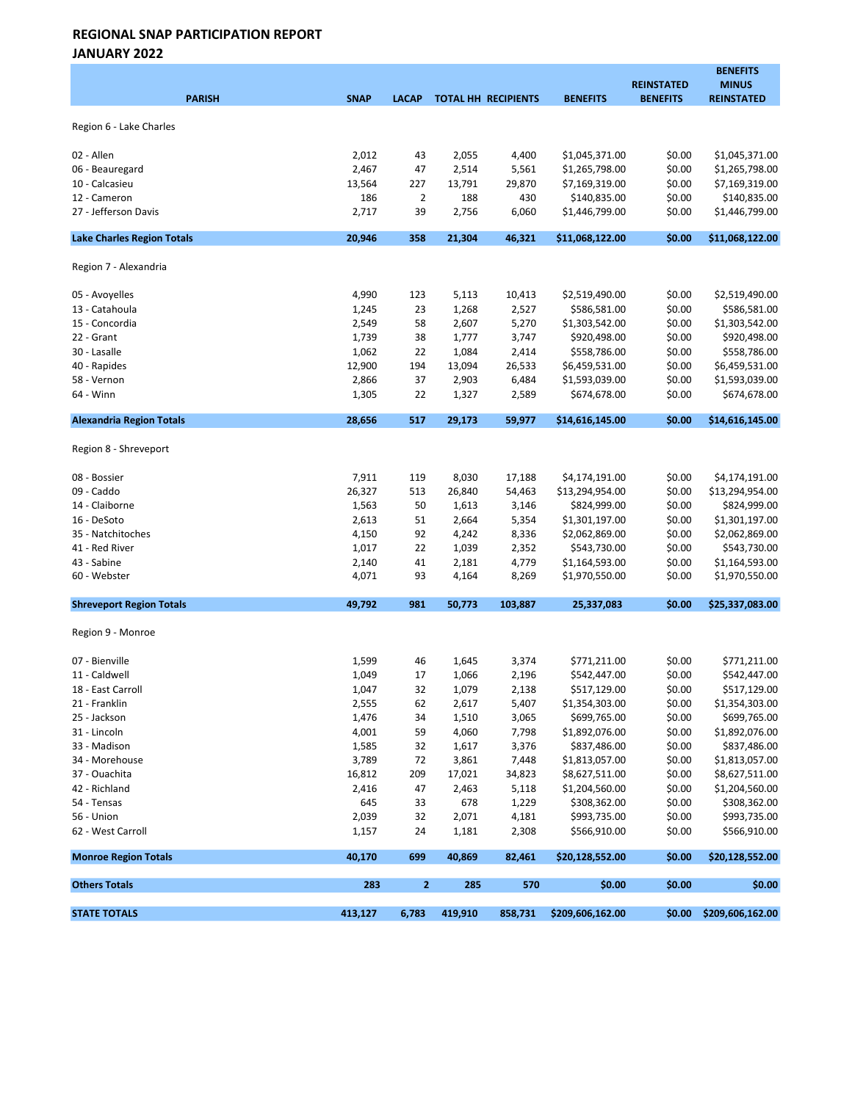JANUARY 2022

| <b>PARISH</b>                     | <b>SNAP</b> | <b>LACAP</b>   |                | <b>TOTAL HH RECIPIENTS</b> | <b>BENEFITS</b>                  | <b>REINSTATED</b><br><b>BENEFITS</b> | <b>BENEFITS</b><br><b>MINUS</b><br><b>REINSTATED</b> |
|-----------------------------------|-------------|----------------|----------------|----------------------------|----------------------------------|--------------------------------------|------------------------------------------------------|
| Region 6 - Lake Charles           |             |                |                |                            |                                  |                                      |                                                      |
| 02 - Allen                        | 2,012       |                |                |                            |                                  | \$0.00                               | \$1,045,371.00                                       |
| 06 - Beauregard                   | 2,467       | 43<br>47       | 2,055<br>2,514 | 4,400<br>5,561             | \$1,045,371.00<br>\$1,265,798.00 | \$0.00                               | \$1,265,798.00                                       |
| 10 - Calcasieu                    | 13,564      | 227            | 13,791         | 29,870                     | \$7,169,319.00                   | \$0.00                               | \$7,169,319.00                                       |
| 12 - Cameron                      | 186         | $\overline{2}$ | 188            | 430                        | \$140,835.00                     | \$0.00                               | \$140,835.00                                         |
| 27 - Jefferson Davis              | 2,717       | 39             | 2,756          | 6,060                      | \$1,446,799.00                   | \$0.00                               | \$1,446,799.00                                       |
| <b>Lake Charles Region Totals</b> | 20,946      | 358            | 21,304         | 46,321                     | \$11,068,122.00                  | \$0.00                               | \$11,068,122.00                                      |
| Region 7 - Alexandria             |             |                |                |                            |                                  |                                      |                                                      |
| 05 - Avoyelles                    | 4,990       | 123            | 5,113          | 10,413                     | \$2,519,490.00                   | \$0.00                               | \$2,519,490.00                                       |
| 13 - Catahoula                    | 1,245       | 23             | 1,268          | 2,527                      | \$586,581.00                     | \$0.00                               | \$586,581.00                                         |
| 15 - Concordia                    | 2,549       | 58             | 2,607          | 5,270                      | \$1,303,542.00                   | \$0.00                               | \$1,303,542.00                                       |
| 22 - Grant                        | 1,739       | 38             | 1,777          | 3,747                      | \$920,498.00                     | \$0.00                               | \$920,498.00                                         |
| 30 - Lasalle                      | 1,062       | 22             | 1,084          | 2,414                      | \$558,786.00                     | \$0.00                               | \$558,786.00                                         |
| 40 - Rapides                      | 12,900      | 194            | 13,094         | 26,533                     | \$6,459,531.00                   | \$0.00                               | \$6,459,531.00                                       |
| 58 - Vernon                       | 2,866       | 37             | 2,903          | 6,484                      | \$1,593,039.00                   | \$0.00                               | \$1,593,039.00                                       |
| 64 - Winn                         | 1,305       | 22             | 1,327          | 2,589                      | \$674,678.00                     | \$0.00                               | \$674,678.00                                         |
| <b>Alexandria Region Totals</b>   | 28,656      | 517            | 29,173         | 59,977                     | \$14,616,145.00                  | \$0.00                               | \$14,616,145.00                                      |
| Region 8 - Shreveport             |             |                |                |                            |                                  |                                      |                                                      |
| 08 - Bossier                      | 7,911       | 119            | 8,030          | 17,188                     | \$4,174,191.00                   | \$0.00                               | \$4,174,191.00                                       |
| 09 - Caddo                        | 26,327      | 513            | 26,840         | 54,463                     | \$13,294,954.00                  | \$0.00                               | \$13,294,954.00                                      |
| 14 - Claiborne                    | 1,563       | 50             | 1,613          | 3,146                      | \$824,999.00                     | \$0.00                               | \$824,999.00                                         |
| 16 - DeSoto                       | 2,613       | 51             | 2,664          | 5,354                      | \$1,301,197.00                   | \$0.00                               | \$1,301,197.00                                       |
| 35 - Natchitoches                 | 4,150       | 92             | 4,242          | 8,336                      | \$2,062,869.00                   | \$0.00                               | \$2,062,869.00                                       |
| 41 - Red River                    | 1,017       | 22             | 1,039          | 2,352                      | \$543,730.00                     | \$0.00                               | \$543,730.00                                         |
| 43 - Sabine                       | 2,140       | 41             | 2,181          | 4,779                      | \$1,164,593.00                   | \$0.00                               | \$1,164,593.00                                       |
| 60 - Webster                      | 4,071       | 93             | 4,164          | 8,269                      | \$1,970,550.00                   | \$0.00                               | \$1,970,550.00                                       |
| <b>Shreveport Region Totals</b>   | 49,792      | 981            | 50,773         | 103,887                    | 25,337,083                       | \$0.00                               | \$25,337,083.00                                      |
| Region 9 - Monroe                 |             |                |                |                            |                                  |                                      |                                                      |
| 07 - Bienville                    | 1,599       | 46             | 1,645          | 3,374                      | \$771,211.00                     | \$0.00                               | \$771,211.00                                         |
| 11 - Caldwell                     | 1,049       | 17             | 1,066          | 2,196                      | \$542,447.00                     | \$0.00                               | \$542,447.00                                         |
| 18 - East Carroll                 | 1,047       | 32             | 1,079          | 2,138                      | \$517,129.00                     | \$0.00                               | \$517,129.00                                         |
| 21 - Franklin                     | 2,555       | 62             | 2,617          | 5,407                      | \$1,354,303.00                   | \$0.00                               | \$1,354,303.00                                       |
| 25 - Jackson                      | 1,476       | 34             | 1,510          | 3,065                      | \$699,765.00                     | \$0.00                               | \$699,765.00                                         |
| 31 - Lincoln                      | 4,001       | 59             | 4,060          | 7,798                      | \$1,892,076.00                   | \$0.00                               | \$1,892,076.00                                       |
| 33 - Madison                      | 1,585       | 32             | 1,617          | 3,376                      | \$837,486.00                     | \$0.00                               | \$837,486.00                                         |
| 34 - Morehouse                    | 3,789       | 72             | 3,861          | 7,448                      | \$1,813,057.00                   | \$0.00                               | \$1,813,057.00                                       |
| 37 - Ouachita                     | 16,812      | 209            | 17,021         | 34,823                     | \$8,627,511.00                   | \$0.00                               | \$8,627,511.00                                       |
| 42 - Richland                     | 2,416       | 47             | 2,463          | 5,118                      | \$1,204,560.00                   | \$0.00                               | \$1,204,560.00                                       |
| 54 - Tensas                       | 645         | 33             | 678            | 1,229                      | \$308,362.00                     | \$0.00                               | \$308,362.00                                         |
| 56 - Union                        | 2,039       | 32             | 2,071          | 4,181                      | \$993,735.00                     | \$0.00                               | \$993,735.00                                         |
| 62 - West Carroll                 | 1,157       | 24             | 1,181          | 2,308                      | \$566,910.00                     | \$0.00                               | \$566,910.00                                         |
| <b>Monroe Region Totals</b>       | 40,170      | 699            | 40,869         | 82,461                     | \$20,128,552.00                  | \$0.00                               | \$20,128,552.00                                      |
| <b>Others Totals</b>              | 283         | $\overline{2}$ | 285            | 570                        | \$0.00                           | \$0.00                               | \$0.00                                               |
| <b>STATE TOTALS</b>               | 413,127     | 6,783          | 419,910        | 858,731                    | \$209,606,162.00                 | \$0.00                               | \$209,606,162.00                                     |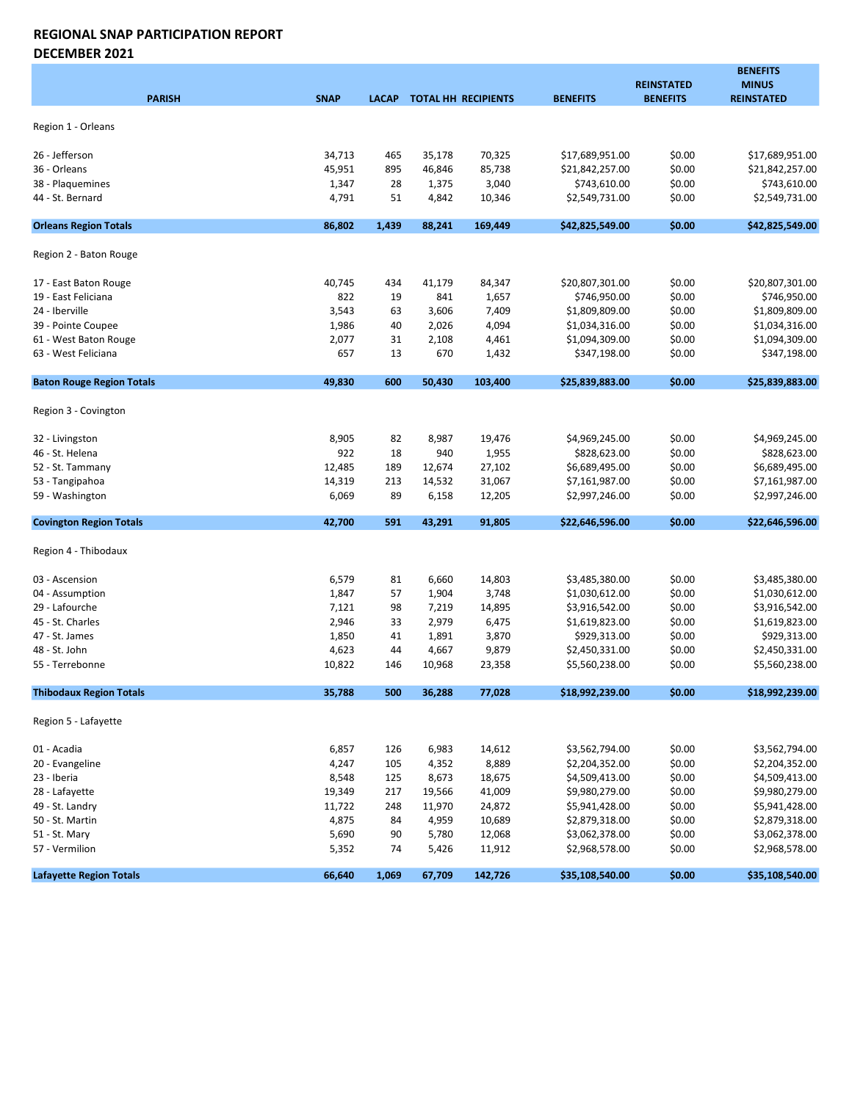#### REGIONAL SNAP PARTICIPATION REPORT DECEMBER 2021

BENEFITS REINSTATED MINUS PARISH SNAP LACAP TOTAL HH RECIPIENTS BENEFITS BENEFITS REINSTATED Region 1 - Orleans 26 - Jefferson 34,713 465 35,178 70,325 \$17,689,951.00 \$0.00 \$17,689,951.00 36 - Orleans 45,951 895 46,846 85,738 \$21,842,257.00 \$0.00 \$21,842,257.00 38 - Plaquemines 1,347 28 1,375 3,040 \$743,610.00 \$0.00 \$743,610.00 44 - St. Bernard 4,791 51 4,842 10,346 \$2,549,731.00 \$0.00 \$2,549,731.00 Orleans Region Totals 86,802 1,439 88,241 169,449 \$42,825,549.00 \$0.00 \$42,825,549.00 Region 2 - Baton Rouge 17 - East Baton Rouge 20,807,301.00 \$20,807,301.00 \$20,807,301.00 \$20,807,301.00 \$20,807,301.00 19 - East Feliciana 822 19 841 1,657 \$746,950.00 \$0.00 \$746,950.00 24 - Iberville 3,543 63 3,606 7,409 \$1,809,809.00 \$0.00 \$1,809,809.00 39 - Pointe Coupee 51,034,316.00 \$1,034,316.00 \$1,034,316.00 \$1,034,316.00 \$1,034,316.00 61 - West Baton Rouge 2,077 31 2,108 4,461 \$1,094,309.00 \$0.00 \$1,094,309.00 63 - West Feliciana 657 13 670 1,432 \$347,198.00 \$0.00 \$347,198.00 Baton Rouge Region Totals **49,830** 49,830 600 50,430 103,400 \$25,839,883.00 \$0.00 \$25,839,883.00 Region 3 - Covington 32 - Livingston 8,905 82 8,987 19,476 \$4,969,245.00 \$0.00 \$4,969,245.00 46 - St. Helena 922 18 940 1,955 \$828,623.00 \$0.00 \$828,623.00 52 - St. Tammany 12,485 189 12,674 27,102 \$6,689,495.00 \$0.00 \$6,689,495.00 53 - Tangipahoa 14,319 213 14,532 31,067 \$7,161,987.00 \$0.00 \$7,161,987.00 59 - Washington 6,069 89 6,158 12,205 \$2,997,246.00 \$0.00 \$2,997,246.00 Covington Region Totals **42,700** 42,700 591 43,291 91,805 \$22,646,596.00 \$0.00 \$22,646,596.00 Region 4 - Thibodaux 03 - Ascension 6,579 81 6,660 14,803 \$3,485,380.00 \$0.00 \$3,485,380.00 04 - Assumption 1,847 57 1,904 3,748 \$1,030,612.00 \$0.00 \$1,030,612.00 29 - Lafourche 7,121 98 7,219 14,895 \$3,916,542.00 \$0.00 \$3,916,542.00 45 - St. Charles 2,946 2,946 33 2,979 6,475 \$1,619,823.00 \$0.00 \$1,619,823.00 47 - St. James 1,850 41 1,891 3,870 \$929,313.00 \$0.00 \$929,313.00 48 - St. John 4,623 44 4,667 9,879 \$2,450,331.00 \$0.00 \$2,450,331.00 55 - Terrebonne 10,822 146 10,968 23,358 \$5,560,238.00 \$0.00 \$5,560,238.00 Thibodaux Region Totals 35,788 500 36,288 77,028 \$18,992,239.00 \$0.00 \$18,992,239.00 Region 5 - Lafayette 01 - Acadia 6,857 126 6,983 14,612 \$3,562,794.00 \$0.00 \$3,562,794.00 20 - Evangeline 4,247 105 4,352 8,889 \$2,204,352.00 \$0.00 \$2,204,352.00 23 - Iberia 8,548 125 8,673 18,675 \$4,509,413.00 \$0.00 \$4,509,413.00 28 - Lafayette 19,349 217 19,566 41,009 \$9,980,279.00 \$0.00 \$9,980,279.00 49 - St. Landry 11,722 248 11,970 24,872 \$5,941,428.00 \$0.00 \$5,941,428.00 50 - St. Martin 4,875 84 4,959 10,689 \$2,879,318.00 \$0.00 \$2,879,318.00 51 - St. Mary 5,690 90 5,780 12,068 \$3,062,378.00 \$0.00 \$3,062,378.00 57 - Vermilion 5,352 74 5,426 11,912 \$2,968,578.00 \$0.00 \$2,968,578.00 Lafayette Region Totals **66,640 1,069 67,709 142,726** \$35,108,540.00 \$0.00 \$35,108,540.00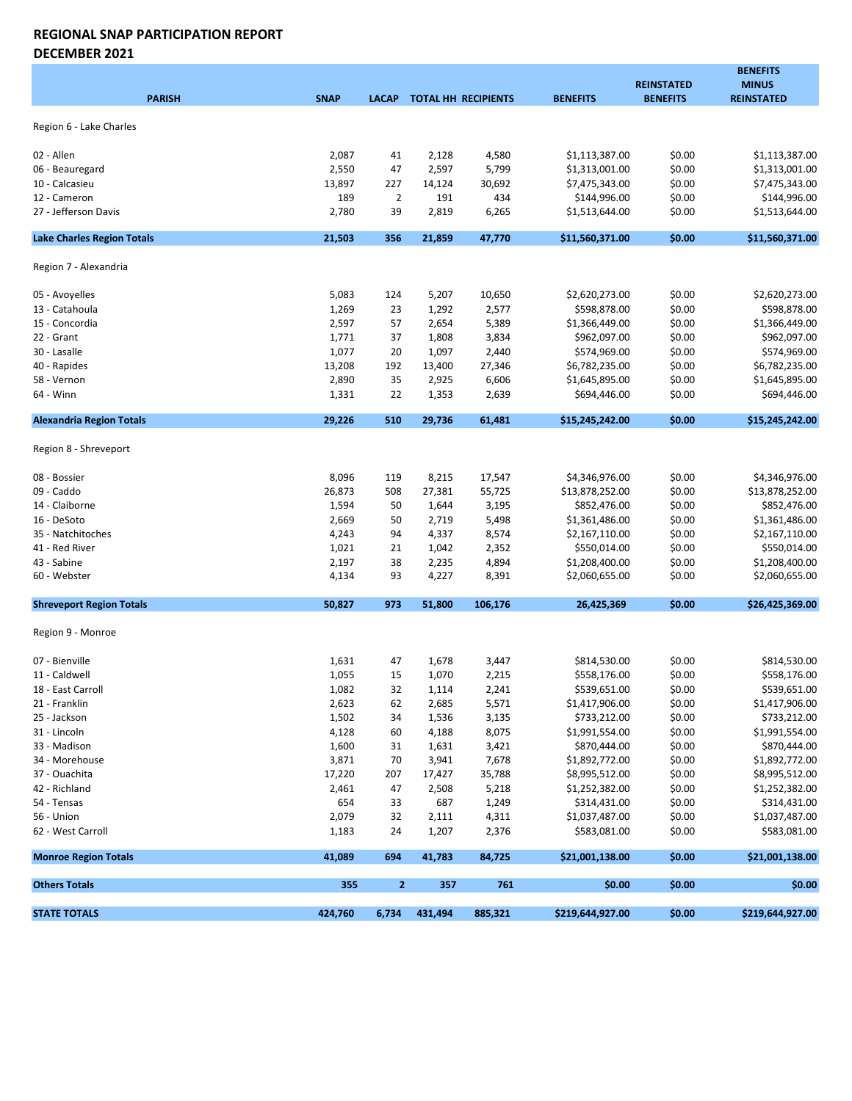#### REGIONAL SNAP PARTICIPATION REPORT DECEMBER 2021

| <b>PARISH</b>                     | <b>SNAP</b> | <b>LACAP</b>   |         | <b>TOTAL HH RECIPIENTS</b> | <b>BENEFITS</b>  | <b>REINSTATED</b><br><b>BENEFITS</b> | <b>BENEFITS</b><br><b>MINUS</b><br><b>REINSTATED</b> |
|-----------------------------------|-------------|----------------|---------|----------------------------|------------------|--------------------------------------|------------------------------------------------------|
| Region 6 - Lake Charles           |             |                |         |                            |                  |                                      |                                                      |
|                                   |             |                |         |                            |                  |                                      |                                                      |
| 02 - Allen                        | 2,087       | 41             | 2,128   | 4,580                      | \$1,113,387.00   | \$0.00                               | \$1,113,387.00                                       |
| 06 - Beauregard                   | 2,550       | 47             | 2,597   | 5,799                      | \$1,313,001.00   | \$0.00                               | \$1,313,001.00                                       |
| 10 - Calcasieu                    | 13,897      | 227            | 14,124  | 30,692                     | \$7,475,343.00   | \$0.00                               | \$7,475,343.00                                       |
| 12 - Cameron                      | 189         | $\overline{2}$ | 191     | 434                        | \$144,996.00     | \$0.00                               | \$144,996.00                                         |
| 27 - Jefferson Davis              | 2,780       | 39             | 2,819   | 6,265                      | \$1,513,644.00   | \$0.00                               | \$1,513,644.00                                       |
| <b>Lake Charles Region Totals</b> | 21,503      | 356            | 21,859  | 47,770                     | \$11,560,371.00  | \$0.00                               | \$11,560,371.00                                      |
| Region 7 - Alexandria             |             |                |         |                            |                  |                                      |                                                      |
| 05 - Avoyelles                    | 5,083       | 124            | 5,207   | 10,650                     | \$2,620,273.00   | \$0.00                               | \$2,620,273.00                                       |
| 13 - Catahoula                    | 1,269       | 23             | 1,292   | 2,577                      | \$598,878.00     | \$0.00                               | \$598,878.00                                         |
| 15 - Concordia                    | 2,597       | 57             | 2,654   | 5,389                      | \$1,366,449.00   | \$0.00                               | \$1,366,449.00                                       |
| 22 - Grant                        | 1,771       | 37             | 1,808   | 3,834                      | \$962,097.00     | \$0.00                               | \$962,097.00                                         |
| 30 - Lasalle                      | 1,077       | 20             | 1,097   | 2,440                      | \$574,969.00     | \$0.00                               | \$574,969.00                                         |
| 40 - Rapides                      | 13,208      | 192            | 13,400  | 27,346                     | \$6,782,235.00   | \$0.00                               | \$6,782,235.00                                       |
| 58 - Vernon                       | 2,890       | 35             | 2,925   | 6,606                      | \$1,645,895.00   | \$0.00                               | \$1,645,895.00                                       |
| 64 - Winn                         | 1,331       | 22             | 1,353   | 2,639                      | \$694,446.00     | \$0.00                               | \$694,446.00                                         |
| <b>Alexandria Region Totals</b>   | 29,226      | 510            | 29,736  | 61,481                     | \$15,245,242.00  | \$0.00                               | \$15,245,242.00                                      |
| Region 8 - Shreveport             |             |                |         |                            |                  |                                      |                                                      |
| 08 - Bossier                      | 8,096       | 119            | 8,215   | 17,547                     | \$4,346,976.00   | \$0.00                               | \$4,346,976.00                                       |
| 09 - Caddo                        | 26,873      | 508            | 27,381  | 55,725                     | \$13,878,252.00  | \$0.00                               | \$13,878,252.00                                      |
| 14 - Claiborne                    | 1,594       | 50             | 1,644   | 3,195                      | \$852,476.00     | \$0.00                               | \$852,476.00                                         |
| 16 - DeSoto                       | 2,669       | 50             | 2,719   | 5,498                      | \$1,361,486.00   | \$0.00                               | \$1,361,486.00                                       |
| 35 - Natchitoches                 | 4,243       | 94             | 4,337   | 8,574                      | \$2,167,110.00   | \$0.00                               | \$2,167,110.00                                       |
| 41 - Red River                    | 1,021       | 21             | 1,042   | 2,352                      | \$550,014.00     | \$0.00                               | \$550,014.00                                         |
| 43 - Sabine                       | 2,197       | 38             | 2,235   | 4,894                      | \$1,208,400.00   | \$0.00                               | \$1,208,400.00                                       |
| 60 - Webster                      | 4,134       | 93             | 4,227   | 8,391                      | \$2,060,655.00   | \$0.00                               | \$2,060,655.00                                       |
| <b>Shreveport Region Totals</b>   | 50,827      | 973            | 51,800  | 106,176                    | 26,425,369       | \$0.00                               | \$26,425,369.00                                      |
| Region 9 - Monroe                 |             |                |         |                            |                  |                                      |                                                      |
| 07 - Bienville                    | 1,631       | 47             | 1,678   | 3,447                      | \$814,530.00     | \$0.00                               | \$814,530.00                                         |
| 11 - Caldwell                     | 1,055       | 15             | 1,070   | 2,215                      | \$558,176.00     | \$0.00                               | \$558,176.00                                         |
| 18 - East Carroll                 | 1,082       | 32             | 1,114   | 2,241                      | \$539,651.00     | \$0.00                               | \$539,651.00                                         |
| 21 - Franklin                     | 2,623       | 62             | 2,685   | 5,571                      | \$1,417,906.00   | \$0.00                               | \$1,417,906.00                                       |
| 25 - Jackson                      | 1,502       | 34             | 1,536   | 3,135                      | \$733,212.00     | \$0.00                               | \$733,212.00                                         |
| 31 - Lincoln                      | 4,128       | 60             | 4,188   | 8,075                      | \$1,991,554.00   | \$0.00                               | \$1,991,554.00                                       |
| 33 - Madison                      | 1,600       | 31             | 1,631   | 3,421                      | \$870,444.00     | \$0.00                               | \$870,444.00                                         |
| 34 - Morehouse                    | 3,871       | 70             | 3,941   | 7,678                      | \$1,892,772.00   | \$0.00                               | \$1,892,772.00                                       |
| 37 - Ouachita                     | 17,220      | 207            | 17,427  | 35,788                     | \$8,995,512.00   | \$0.00                               | \$8,995,512.00                                       |
| 42 - Richland                     | 2,461       | 47             | 2,508   | 5,218                      | \$1,252,382.00   | \$0.00                               | \$1,252,382.00                                       |
| 54 - Tensas                       | 654         | 33             | 687     | 1,249                      | \$314,431.00     | \$0.00                               | \$314,431.00                                         |
| 56 - Union                        | 2,079       | 32             | 2,111   | 4,311                      | \$1,037,487.00   | \$0.00                               | \$1,037,487.00                                       |
| 62 - West Carroll                 | 1,183       | 24             | 1,207   | 2,376                      | \$583,081.00     | \$0.00                               | \$583,081.00                                         |
| <b>Monroe Region Totals</b>       | 41,089      | 694            | 41,783  | 84,725                     | \$21,001,138.00  | \$0.00                               | \$21,001,138.00                                      |
| <b>Others Totals</b>              | 355         | $\mathbf{2}$   | 357     | 761                        | \$0.00           | \$0.00                               | \$0.00                                               |
| <b>STATE TOTALS</b>               | 424,760     | 6,734          | 431,494 | 885,321                    | \$219,644,927.00 | \$0.00                               | \$219,644,927.00                                     |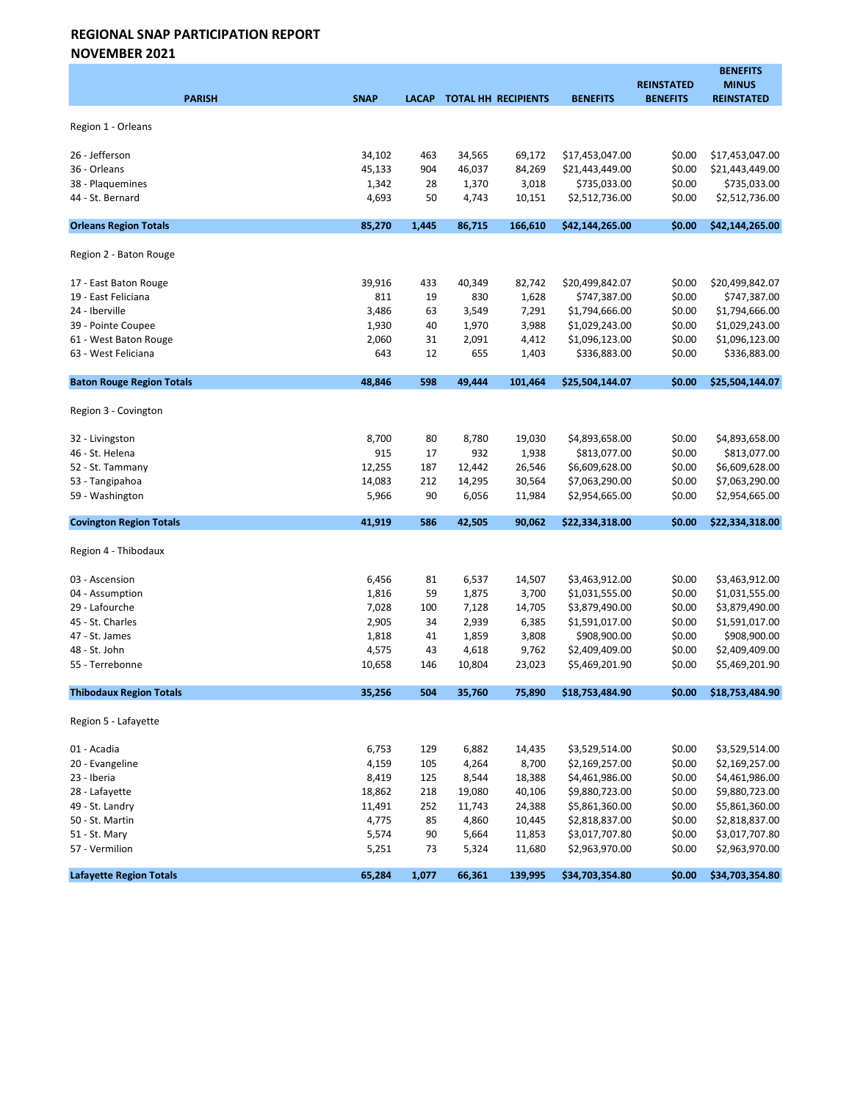NOVEMBER 2021

| <b>PARISH</b>                        | <b>SNAP</b>    | <b>LACAP</b> |                | TOTAL HH RECIPIENTS | <b>BENEFITS</b>                | <b>REINSTATED</b><br><b>BENEFITS</b> | <b>BENEFITS</b><br><b>MINUS</b><br><b>REINSTATED</b> |
|--------------------------------------|----------------|--------------|----------------|---------------------|--------------------------------|--------------------------------------|------------------------------------------------------|
| Region 1 - Orleans                   |                |              |                |                     |                                |                                      |                                                      |
|                                      |                |              |                |                     |                                |                                      |                                                      |
| 26 - Jefferson                       | 34,102         | 463          | 34,565         | 69,172              | \$17,453,047.00                | \$0.00                               | \$17,453,047.00                                      |
| 36 - Orleans                         | 45,133         | 904          | 46,037         | 84,269              | \$21,443,449.00                | \$0.00                               | \$21,443,449.00                                      |
| 38 - Plaquemines<br>44 - St. Bernard | 1,342<br>4,693 | 28<br>50     | 1,370<br>4,743 | 3,018<br>10,151     | \$735,033.00<br>\$2,512,736.00 | \$0.00<br>\$0.00                     | \$735,033.00<br>\$2,512,736.00                       |
|                                      |                |              |                |                     |                                |                                      |                                                      |
| <b>Orleans Region Totals</b>         | 85,270         | 1,445        | 86,715         | 166,610             | \$42,144,265.00                | \$0.00                               | \$42,144,265.00                                      |
| Region 2 - Baton Rouge               |                |              |                |                     |                                |                                      |                                                      |
| 17 - East Baton Rouge                | 39,916         | 433          | 40,349         | 82,742              | \$20,499,842.07                | \$0.00                               | \$20,499,842.07                                      |
| 19 - East Feliciana                  | 811            | 19           | 830            | 1,628               | \$747,387.00                   | \$0.00                               | \$747,387.00                                         |
| 24 - Iberville                       | 3,486          | 63           | 3,549          | 7,291               | \$1,794,666.00                 | \$0.00                               | \$1,794,666.00                                       |
| 39 - Pointe Coupee                   | 1,930          | 40           | 1,970          | 3,988               | \$1,029,243.00                 | \$0.00                               | \$1,029,243.00                                       |
| 61 - West Baton Rouge                | 2,060          | 31           | 2,091          | 4,412               | \$1,096,123.00                 | \$0.00                               | \$1,096,123.00                                       |
| 63 - West Feliciana                  | 643            | 12           | 655            | 1,403               | \$336,883.00                   | \$0.00                               | \$336,883.00                                         |
| <b>Baton Rouge Region Totals</b>     | 48,846         | 598          | 49,444         | 101,464             | \$25,504,144.07                | \$0.00                               | \$25,504,144.07                                      |
| Region 3 - Covington                 |                |              |                |                     |                                |                                      |                                                      |
| 32 - Livingston                      | 8,700          | 80           | 8,780          | 19,030              | \$4,893,658.00                 | \$0.00                               | \$4,893,658.00                                       |
| 46 - St. Helena                      | 915            | 17           | 932            | 1,938               | \$813,077.00                   | \$0.00                               | \$813,077.00                                         |
| 52 - St. Tammany                     | 12,255         | 187          | 12,442         | 26,546              | \$6,609,628.00                 | \$0.00                               | \$6,609,628.00                                       |
| 53 - Tangipahoa                      | 14,083         | 212          | 14,295         | 30,564              | \$7,063,290.00                 | \$0.00                               | \$7,063,290.00                                       |
| 59 - Washington                      | 5,966          | 90           | 6,056          | 11,984              | \$2,954,665.00                 | \$0.00                               | \$2,954,665.00                                       |
| <b>Covington Region Totals</b>       | 41,919         | 586          | 42,505         | 90,062              | \$22,334,318.00                | \$0.00                               | \$22,334,318.00                                      |
| Region 4 - Thibodaux                 |                |              |                |                     |                                |                                      |                                                      |
| 03 - Ascension                       | 6,456          | 81           | 6,537          | 14,507              | \$3,463,912.00                 | \$0.00                               | \$3,463,912.00                                       |
| 04 - Assumption                      | 1,816          | 59           | 1,875          | 3,700               | \$1,031,555.00                 | \$0.00                               | \$1,031,555.00                                       |
| 29 - Lafourche                       | 7,028          | 100          | 7,128          | 14,705              | \$3,879,490.00                 | \$0.00                               | \$3,879,490.00                                       |
| 45 - St. Charles                     | 2,905          | 34           | 2,939          | 6,385               | \$1,591,017.00                 | \$0.00                               | \$1,591,017.00                                       |
| 47 - St. James                       | 1,818          | 41           | 1,859          | 3,808               | \$908,900.00                   | \$0.00                               | \$908,900.00                                         |
| 48 - St. John                        | 4,575          | 43           | 4,618          | 9,762               | \$2,409,409.00                 | \$0.00                               | \$2,409,409.00                                       |
| 55 - Terrebonne                      | 10,658         | 146          | 10,804         | 23,023              | \$5,469,201.90                 | \$0.00                               | \$5,469,201.90                                       |
| <b>Thibodaux Region Totals</b>       | 35,256         | 504          | 35,760         | 75,890              | \$18,753,484.90                | \$0.00                               | \$18,753,484.90                                      |
| Region 5 - Lafayette                 |                |              |                |                     |                                |                                      |                                                      |
| 01 - Acadia                          | 6,753          | 129          | 6,882          | 14,435              | \$3,529,514.00                 | \$0.00                               | \$3,529,514.00                                       |
| 20 - Evangeline                      | 4,159          | 105          | 4,264          | 8,700               | \$2,169,257.00                 | \$0.00                               | \$2,169,257.00                                       |
| 23 - Iberia                          | 8,419          | 125          | 8,544          | 18,388              | \$4,461,986.00                 | \$0.00                               | \$4,461,986.00                                       |
| 28 - Lafayette                       | 18,862         | 218          | 19,080         | 40,106              | \$9,880,723.00                 | \$0.00                               | \$9,880,723.00                                       |
| 49 - St. Landry                      | 11,491         | 252          | 11,743         | 24,388              | \$5,861,360.00                 | \$0.00                               | \$5,861,360.00                                       |
| 50 - St. Martin                      | 4,775          | 85           | 4,860          | 10,445              | \$2,818,837.00                 | \$0.00                               | \$2,818,837.00                                       |
| 51 - St. Mary                        | 5,574          | 90           | 5,664          | 11,853              | \$3,017,707.80                 | \$0.00                               | \$3,017,707.80                                       |
| 57 - Vermilion                       | 5,251          | 73           | 5,324          | 11,680              | \$2,963,970.00                 | \$0.00                               | \$2,963,970.00                                       |
| <b>Lafayette Region Totals</b>       | 65,284         | 1,077        | 66,361         | 139,995             | \$34,703,354.80                | \$0.00                               | \$34,703,354.80                                      |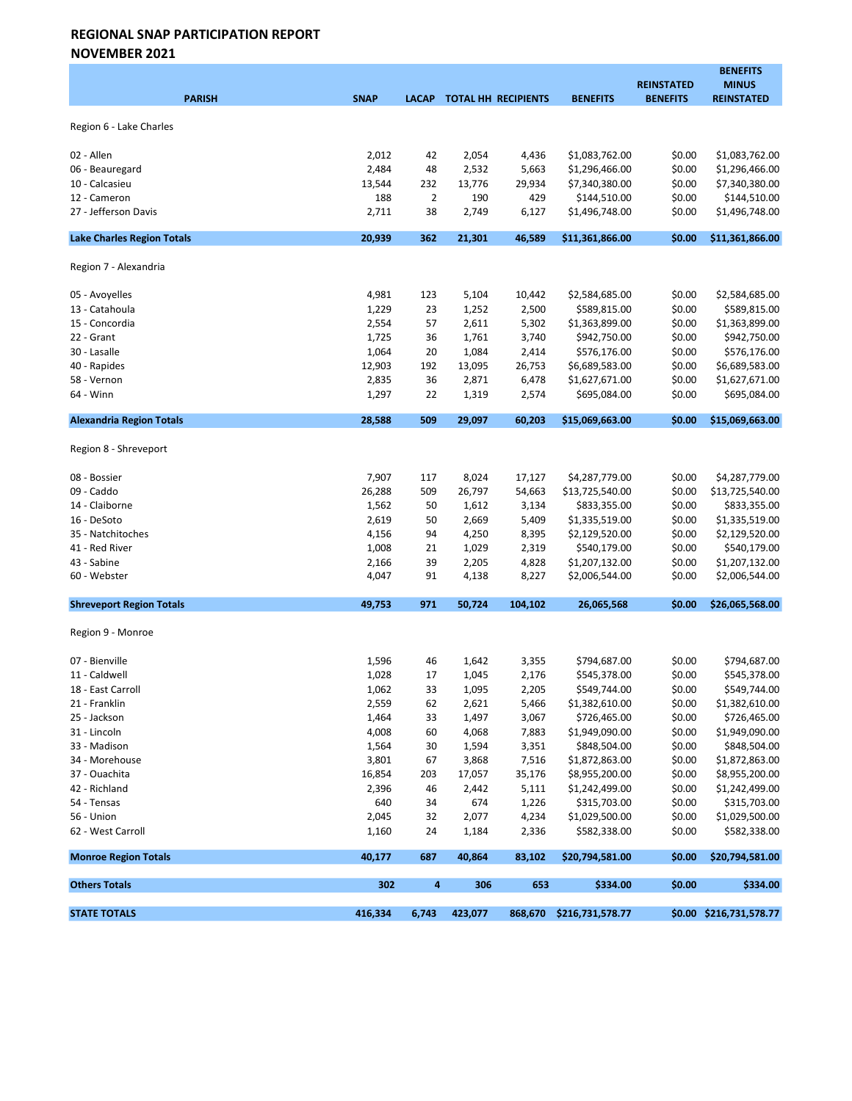NOVEMBER 2021

|                                   |             |                |         |                            |                  |                                      | <b>BENEFITS</b>                   |
|-----------------------------------|-------------|----------------|---------|----------------------------|------------------|--------------------------------------|-----------------------------------|
| <b>PARISH</b>                     | <b>SNAP</b> | <b>LACAP</b>   |         | <b>TOTAL HH RECIPIENTS</b> | <b>BENEFITS</b>  | <b>REINSTATED</b><br><b>BENEFITS</b> | <b>MINUS</b><br><b>REINSTATED</b> |
|                                   |             |                |         |                            |                  |                                      |                                   |
| Region 6 - Lake Charles           |             |                |         |                            |                  |                                      |                                   |
| 02 - Allen                        | 2,012       | 42             | 2,054   | 4,436                      | \$1,083,762.00   | \$0.00                               | \$1,083,762.00                    |
| 06 - Beauregard                   | 2,484       | 48             | 2,532   | 5,663                      | \$1,296,466.00   | \$0.00                               | \$1,296,466.00                    |
| 10 - Calcasieu                    | 13,544      | 232            | 13,776  | 29,934                     | \$7,340,380.00   | \$0.00                               | \$7,340,380.00                    |
| 12 - Cameron                      | 188         | $\overline{2}$ | 190     | 429                        | \$144,510.00     | \$0.00                               | \$144,510.00                      |
| 27 - Jefferson Davis              | 2,711       | 38             | 2,749   | 6,127                      | \$1,496,748.00   | \$0.00                               | \$1,496,748.00                    |
| <b>Lake Charles Region Totals</b> | 20,939      | 362            | 21,301  | 46,589                     | \$11,361,866.00  | \$0.00                               | \$11,361,866.00                   |
| Region 7 - Alexandria             |             |                |         |                            |                  |                                      |                                   |
| 05 - Avoyelles                    | 4,981       | 123            | 5,104   | 10,442                     | \$2,584,685.00   | \$0.00                               | \$2,584,685.00                    |
| 13 - Catahoula                    | 1,229       | 23             | 1,252   | 2,500                      | \$589,815.00     | \$0.00                               | \$589,815.00                      |
| 15 - Concordia                    | 2,554       | 57             | 2,611   | 5,302                      | \$1,363,899.00   | \$0.00                               | \$1,363,899.00                    |
| 22 - Grant                        | 1,725       | 36             | 1,761   | 3,740                      | \$942,750.00     | \$0.00                               | \$942,750.00                      |
| 30 - Lasalle                      | 1,064       | 20             | 1,084   | 2,414                      | \$576,176.00     | \$0.00                               | \$576,176.00                      |
| 40 - Rapides                      | 12,903      | 192            | 13,095  | 26,753                     | \$6,689,583.00   | \$0.00                               | \$6,689,583.00                    |
| 58 - Vernon                       | 2,835       | 36             | 2,871   | 6,478                      | \$1,627,671.00   | \$0.00                               | \$1,627,671.00                    |
| 64 - Winn                         | 1,297       | 22             | 1,319   | 2,574                      | \$695,084.00     | \$0.00                               | \$695,084.00                      |
| <b>Alexandria Region Totals</b>   | 28,588      | 509            | 29,097  | 60,203                     | \$15,069,663.00  | \$0.00                               | \$15,069,663.00                   |
| Region 8 - Shreveport             |             |                |         |                            |                  |                                      |                                   |
| 08 - Bossier                      | 7,907       | 117            | 8,024   | 17,127                     | \$4,287,779.00   | \$0.00                               | \$4,287,779.00                    |
| 09 - Caddo                        | 26,288      | 509            | 26,797  | 54,663                     | \$13,725,540.00  | \$0.00                               | \$13,725,540.00                   |
| 14 - Claiborne                    | 1,562       | 50             | 1,612   | 3,134                      | \$833,355.00     | \$0.00                               | \$833,355.00                      |
| 16 - DeSoto                       | 2,619       | 50             | 2,669   | 5,409                      | \$1,335,519.00   | \$0.00                               | \$1,335,519.00                    |
| 35 - Natchitoches                 | 4,156       | 94             | 4,250   | 8,395                      | \$2,129,520.00   | \$0.00                               | \$2,129,520.00                    |
| 41 - Red River                    | 1,008       | 21             | 1,029   | 2,319                      | \$540,179.00     | \$0.00                               | \$540,179.00                      |
| 43 - Sabine                       | 2,166       | 39             | 2,205   | 4,828                      | \$1,207,132.00   | \$0.00                               | \$1,207,132.00                    |
| 60 - Webster                      | 4,047       | 91             | 4,138   | 8,227                      | \$2,006,544.00   | \$0.00                               | \$2,006,544.00                    |
| <b>Shreveport Region Totals</b>   | 49,753      | 971            | 50,724  | 104,102                    | 26,065,568       | \$0.00                               | \$26,065,568.00                   |
| Region 9 - Monroe                 |             |                |         |                            |                  |                                      |                                   |
| 07 - Bienville                    | 1,596       | 46             | 1,642   | 3,355                      | \$794,687.00     | \$0.00                               | \$794,687.00                      |
| 11 - Caldwell                     | 1,028       | 17             | 1,045   | 2,176                      | \$545,378.00     | \$0.00                               | \$545,378.00                      |
| 18 - East Carroll                 | 1,062       | 33             | 1,095   | 2,205                      | \$549,744.00     | \$0.00                               | \$549,744.00                      |
| 21 - Franklin                     | 2,559       | 62             | 2,621   | 5,466                      | \$1,382,610.00   | \$0.00                               | \$1,382,610.00                    |
| 25 - Jackson                      | 1,464       | 33             | 1,497   | 3,067                      | \$726,465.00     | \$0.00                               | \$726,465.00                      |
| 31 - Lincoln                      | 4,008       | 60             | 4,068   | 7,883                      | \$1,949,090.00   | \$0.00                               | \$1,949,090.00                    |
| 33 - Madison                      | 1,564       | 30             | 1,594   | 3,351                      | \$848,504.00     | \$0.00                               | \$848,504.00                      |
| 34 - Morehouse                    | 3,801       | 67             | 3,868   | 7,516                      | \$1,872,863.00   | \$0.00                               | \$1,872,863.00                    |
| 37 - Ouachita                     | 16,854      | 203            | 17,057  | 35,176                     | \$8,955,200.00   | \$0.00                               | \$8,955,200.00                    |
| 42 - Richland                     | 2,396       | 46             | 2,442   | 5,111                      | \$1,242,499.00   | \$0.00                               | \$1,242,499.00                    |
| 54 - Tensas                       | 640         | 34             | 674     | 1,226                      | \$315,703.00     | \$0.00                               | \$315,703.00                      |
| 56 - Union                        | 2,045       | 32             | 2,077   | 4,234                      | \$1,029,500.00   | \$0.00                               | \$1,029,500.00                    |
| 62 - West Carroll                 | 1,160       | 24             | 1,184   | 2,336                      | \$582,338.00     | \$0.00                               | \$582,338.00                      |
| <b>Monroe Region Totals</b>       | 40,177      | 687            | 40,864  | 83,102                     | \$20,794,581.00  | \$0.00                               | \$20,794,581.00                   |
| <b>Others Totals</b>              | 302         | 4              | 306     | 653                        | \$334.00         | \$0.00                               | \$334.00                          |
| <b>STATE TOTALS</b>               | 416,334     | 6,743          | 423,077 | 868,670                    | \$216,731,578.77 |                                      | \$0.00 \$216,731,578.77           |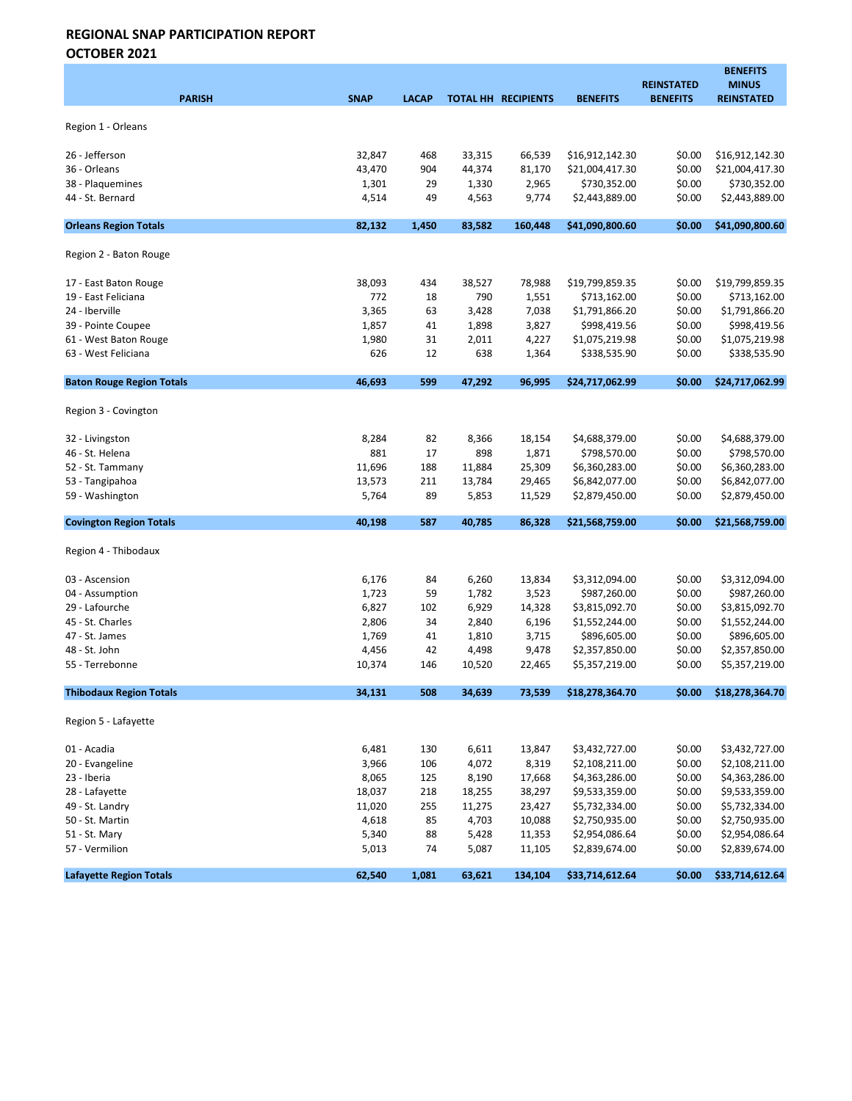OCTOBER 2021

| <b>PARISH</b>                    | <b>SNAP</b>    | <b>LACAP</b> |                 | <b>TOTAL HH RECIPIENTS</b> | <b>BENEFITS</b>                  | <b>REINSTATED</b><br><b>BENEFITS</b> | <b>BENEFITS</b><br><b>MINUS</b><br><b>REINSTATED</b> |
|----------------------------------|----------------|--------------|-----------------|----------------------------|----------------------------------|--------------------------------------|------------------------------------------------------|
|                                  |                |              |                 |                            |                                  |                                      |                                                      |
| Region 1 - Orleans               |                |              |                 |                            |                                  |                                      |                                                      |
| 26 - Jefferson                   | 32,847         | 468          | 33,315          | 66,539                     | \$16,912,142.30                  | \$0.00                               | \$16,912,142.30                                      |
| 36 - Orleans                     | 43,470         | 904          | 44,374          | 81,170                     | \$21,004,417.30                  | \$0.00                               | \$21,004,417.30                                      |
| 38 - Plaquemines                 | 1,301          | 29           | 1,330           | 2,965                      | \$730,352.00                     | \$0.00                               | \$730,352.00                                         |
| 44 - St. Bernard                 | 4,514          | 49           | 4,563           | 9,774                      | \$2,443,889.00                   | \$0.00                               | \$2,443,889.00                                       |
|                                  |                |              |                 |                            |                                  |                                      |                                                      |
| <b>Orleans Region Totals</b>     | 82.132         | 1,450        | 83,582          | 160,448                    | \$41,090,800.60                  | \$0.00                               | \$41,090,800.60                                      |
| Region 2 - Baton Rouge           |                |              |                 |                            |                                  |                                      |                                                      |
| 17 - East Baton Rouge            | 38,093         | 434          | 38,527          | 78,988                     | \$19,799,859.35                  | \$0.00                               | \$19,799,859.35                                      |
| 19 - East Feliciana              | 772            | 18           | 790             | 1,551                      | \$713,162.00                     | \$0.00                               | \$713,162.00                                         |
| 24 - Iberville                   | 3,365          | 63           | 3,428           | 7,038                      | \$1,791,866.20                   | \$0.00                               | \$1,791,866.20                                       |
| 39 - Pointe Coupee               | 1,857          | 41           | 1,898           | 3,827                      | \$998,419.56                     | \$0.00                               | \$998,419.56                                         |
| 61 - West Baton Rouge            | 1,980          | 31           | 2,011           | 4,227                      | \$1,075,219.98                   | \$0.00                               | \$1,075,219.98                                       |
| 63 - West Feliciana              | 626            | 12           | 638             | 1,364                      | \$338,535.90                     | \$0.00                               | \$338,535.90                                         |
|                                  |                |              |                 |                            |                                  |                                      |                                                      |
| <b>Baton Rouge Region Totals</b> | 46,693         | 599          | 47,292          | 96,995                     | \$24,717,062.99                  | \$0.00                               | \$24,717,062.99                                      |
| Region 3 - Covington             |                |              |                 |                            |                                  |                                      |                                                      |
| 32 - Livingston                  | 8,284          | 82           | 8,366           | 18,154                     | \$4,688,379.00                   | \$0.00                               | \$4,688,379.00                                       |
| 46 - St. Helena                  | 881            | 17           | 898             | 1,871                      | \$798,570.00                     | \$0.00                               | \$798,570.00                                         |
| 52 - St. Tammany                 | 11,696         | 188          | 11,884          | 25,309                     | \$6,360,283.00                   | \$0.00                               | \$6,360,283.00                                       |
| 53 - Tangipahoa                  | 13,573         | 211          | 13,784          | 29,465                     | \$6,842,077.00                   | \$0.00                               | \$6,842,077.00                                       |
| 59 - Washington                  | 5,764          | 89           | 5,853           | 11,529                     | \$2,879,450.00                   | \$0.00                               | \$2,879,450.00                                       |
| <b>Covington Region Totals</b>   | 40,198         | 587          | 40,785          | 86,328                     | \$21,568,759.00                  | \$0.00                               | \$21,568,759.00                                      |
| Region 4 - Thibodaux             |                |              |                 |                            |                                  |                                      |                                                      |
| 03 - Ascension                   |                |              |                 |                            |                                  | \$0.00                               | \$3,312,094.00                                       |
| 04 - Assumption                  | 6,176<br>1,723 | 84<br>59     | 6,260<br>1,782  | 13,834<br>3,523            | \$3,312,094.00<br>\$987,260.00   | \$0.00                               | \$987,260.00                                         |
| 29 - Lafourche                   | 6,827          | 102          | 6,929           | 14,328                     | \$3,815,092.70                   | \$0.00                               | \$3,815,092.70                                       |
| 45 - St. Charles                 | 2,806          | 34           | 2,840           | 6,196                      | \$1,552,244.00                   | \$0.00                               | \$1,552,244.00                                       |
| 47 - St. James                   | 1,769          | 41           | 1,810           | 3,715                      | \$896,605.00                     | \$0.00                               | \$896,605.00                                         |
| 48 - St. John                    | 4,456          | 42           | 4,498           | 9,478                      | \$2,357,850.00                   | \$0.00                               | \$2,357,850.00                                       |
| 55 - Terrebonne                  | 10,374         | 146          | 10,520          | 22,465                     | \$5,357,219.00                   | \$0.00                               | \$5,357,219.00                                       |
| <b>Thibodaux Region Totals</b>   | 34,131         | 508          | 34,639          | 73,539                     | \$18,278,364.70                  | \$0.00                               | \$18,278,364.70                                      |
| Region 5 - Lafayette             |                |              |                 |                            |                                  |                                      |                                                      |
|                                  |                |              |                 |                            |                                  |                                      |                                                      |
| 01 - Acadia                      | 6,481          | 130          | 6,611           | 13,847                     | \$3,432,727.00                   | \$0.00                               | \$3,432,727.00                                       |
| 20 - Evangeline                  | 3,966          | 106          | 4,072           | 8,319                      | \$2,108,211.00                   | \$0.00                               | \$2,108,211.00                                       |
| 23 - Iberia                      | 8,065          | 125          | 8,190           | 17,668                     | \$4,363,286.00                   | \$0.00                               | \$4,363,286.00                                       |
| 28 - Lafayette                   | 18,037         | 218          | 18,255          | 38,297                     | \$9,533,359.00                   | \$0.00                               | \$9,533,359.00                                       |
| 49 - St. Landry                  | 11,020         | 255          | 11,275<br>4,703 | 23,427<br>10,088           | \$5,732,334.00                   | \$0.00                               | \$5,732,334.00<br>\$2,750,935.00                     |
| 50 - St. Martin                  | 4,618          | 85<br>88     | 5,428           |                            | \$2,750,935.00<br>\$2,954,086.64 | \$0.00<br>\$0.00                     | \$2,954,086.64                                       |
| 51 - St. Mary<br>57 - Vermilion  | 5,340<br>5,013 | 74           | 5,087           | 11,353<br>11,105           | \$2,839,674.00                   | \$0.00                               | \$2,839,674.00                                       |
|                                  |                |              |                 |                            |                                  |                                      |                                                      |
| <b>Lafayette Region Totals</b>   | 62,540         | 1,081        | 63,621          | 134,104                    | \$33,714,612.64                  | \$0.00                               | \$33,714,612.64                                      |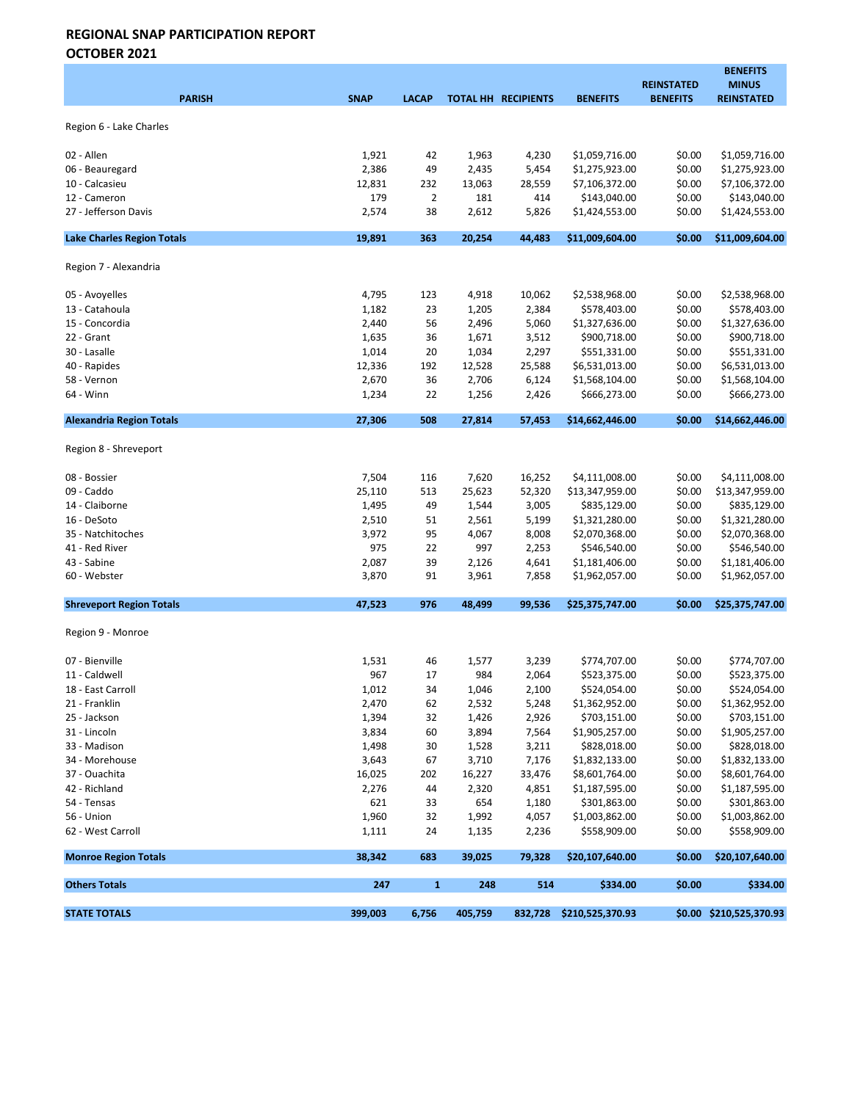OCTOBER 2021

|                                   |                 |              |                 |                            |                                 | <b>REINSTATED</b> | <b>BENEFITS</b><br><b>MINUS</b>   |
|-----------------------------------|-----------------|--------------|-----------------|----------------------------|---------------------------------|-------------------|-----------------------------------|
| <b>PARISH</b>                     | <b>SNAP</b>     | <b>LACAP</b> |                 | <b>TOTAL HH RECIPIENTS</b> | <b>BENEFITS</b>                 | <b>BENEFITS</b>   | <b>REINSTATED</b>                 |
|                                   |                 |              |                 |                            |                                 |                   |                                   |
| Region 6 - Lake Charles           |                 |              |                 |                            |                                 |                   |                                   |
| 02 - Allen                        | 1,921           | 42           | 1,963           | 4,230                      | \$1,059,716.00                  | \$0.00            | \$1,059,716.00                    |
| 06 - Beauregard                   | 2,386           | 49           | 2,435           | 5,454                      | \$1,275,923.00                  | \$0.00            | \$1,275,923.00                    |
| 10 - Calcasieu                    | 12,831          | 232          | 13,063          | 28,559                     | \$7,106,372.00                  | \$0.00            | \$7,106,372.00                    |
| 12 - Cameron                      | 179             | 2            | 181             | 414                        | \$143,040.00                    | \$0.00            | \$143,040.00                      |
| 27 - Jefferson Davis              | 2,574           | 38           | 2,612           | 5,826                      | \$1,424,553.00                  | \$0.00            | \$1,424,553.00                    |
|                                   |                 |              |                 |                            |                                 |                   |                                   |
| <b>Lake Charles Region Totals</b> | 19,891          | 363          | 20,254          | 44,483                     | \$11,009,604.00                 | \$0.00            | \$11,009,604.00                   |
| Region 7 - Alexandria             |                 |              |                 |                            |                                 |                   |                                   |
| 05 - Avoyelles                    | 4,795           | 123          | 4,918           | 10,062                     | \$2,538,968.00                  | \$0.00            | \$2,538,968.00                    |
| 13 - Catahoula                    | 1,182           | 23           | 1,205           | 2,384                      | \$578,403.00                    | \$0.00            | \$578,403.00                      |
| 15 - Concordia                    | 2,440           | 56           | 2,496           | 5,060                      | \$1,327,636.00                  | \$0.00            | \$1,327,636.00                    |
| 22 - Grant                        | 1,635           | 36           | 1,671           | 3,512                      | \$900,718.00                    | \$0.00            | \$900,718.00                      |
| 30 - Lasalle                      | 1,014           | 20           | 1,034           | 2,297                      | \$551,331.00                    | \$0.00            | \$551,331.00                      |
| 40 - Rapides                      | 12,336          | 192          | 12,528          | 25,588                     | \$6,531,013.00                  | \$0.00            | \$6,531,013.00                    |
| 58 - Vernon                       | 2,670           | 36           | 2,706           | 6,124                      | \$1,568,104.00                  | \$0.00            | \$1,568,104.00                    |
| 64 - Winn                         | 1,234           | 22           | 1,256           | 2,426                      | \$666,273.00                    | \$0.00            | \$666,273.00                      |
| <b>Alexandria Region Totals</b>   | 27,306          | 508          | 27,814          | 57,453                     | \$14,662,446.00                 | \$0.00            | \$14,662,446.00                   |
| Region 8 - Shreveport             |                 |              |                 |                            |                                 |                   |                                   |
|                                   |                 |              |                 |                            |                                 |                   |                                   |
| 08 - Bossier<br>09 - Caddo        | 7,504<br>25,110 | 116<br>513   | 7,620<br>25,623 | 16,252<br>52,320           | \$4,111,008.00                  | \$0.00<br>\$0.00  | \$4,111,008.00<br>\$13,347,959.00 |
| 14 - Claiborne                    | 1,495           | 49           | 1,544           | 3,005                      | \$13,347,959.00<br>\$835,129.00 | \$0.00            | \$835,129.00                      |
| 16 - DeSoto                       | 2,510           | 51           | 2,561           | 5,199                      | \$1,321,280.00                  | \$0.00            | \$1,321,280.00                    |
| 35 - Natchitoches                 | 3,972           | 95           | 4,067           | 8,008                      | \$2,070,368.00                  | \$0.00            | \$2,070,368.00                    |
| 41 - Red River                    | 975             | 22           | 997             | 2,253                      | \$546,540.00                    | \$0.00            | \$546,540.00                      |
| 43 - Sabine                       | 2,087           | 39           | 2,126           | 4,641                      | \$1,181,406.00                  | \$0.00            | \$1,181,406.00                    |
| 60 - Webster                      | 3,870           | 91           | 3,961           | 7,858                      | \$1,962,057.00                  | \$0.00            | \$1,962,057.00                    |
| <b>Shreveport Region Totals</b>   | 47,523          | 976          | 48,499          | 99,536                     | \$25,375,747.00                 | \$0.00            | \$25,375,747.00                   |
|                                   |                 |              |                 |                            |                                 |                   |                                   |
| Region 9 - Monroe                 |                 |              |                 |                            |                                 |                   |                                   |
| 07 - Bienville                    | 1,531           | 46           | 1,577           | 3,239                      | \$774,707.00                    | \$0.00            | \$774,707.00                      |
| 11 - Caldwell                     | 967             | 17           | 984             | 2,064                      | \$523,375.00                    | \$0.00            | \$523,375.00                      |
| 18 - East Carroll                 | 1,012           | 34           | 1,046           | 2,100                      | \$524,054.00                    | \$0.00            | \$524,054.00                      |
| 21 - Franklin                     | 2,470           | 62           | 2,532           | 5,248                      | \$1,362,952.00                  | \$0.00            | \$1,362,952.00                    |
| 25 - Jackson                      | 1,394           | 32           | 1,426           | 2,926                      | \$703,151.00                    | \$0.00            | \$703,151.00                      |
| 31 - Lincoln                      | 3,834           | 60           | 3,894           | 7,564                      | \$1,905,257.00                  | \$0.00            | \$1,905,257.00                    |
| 33 - Madison                      | 1,498           | 30           | 1,528           | 3,211                      | \$828,018.00                    | \$0.00            | \$828,018.00                      |
| 34 - Morehouse                    | 3,643           | 67           | 3,710           | 7,176                      | \$1,832,133.00                  | \$0.00            | \$1,832,133.00                    |
| 37 - Ouachita                     | 16,025          | 202          | 16,227          | 33,476                     | \$8,601,764.00                  | \$0.00            | \$8,601,764.00                    |
| 42 - Richland                     | 2,276           | 44           | 2,320           | 4,851                      | \$1,187,595.00                  | \$0.00            | \$1,187,595.00                    |
| 54 - Tensas                       | 621             | 33           | 654             | 1,180                      | \$301,863.00                    | \$0.00            | \$301,863.00                      |
| 56 - Union                        | 1,960           | 32           | 1,992           | 4,057                      | \$1,003,862.00                  | \$0.00            | \$1,003,862.00                    |
| 62 - West Carroll                 | 1,111           | 24           | 1,135           | 2,236                      | \$558,909.00                    | \$0.00            | \$558,909.00                      |
| <b>Monroe Region Totals</b>       | 38,342          | 683          | 39,025          | 79,328                     | \$20,107,640.00                 | \$0.00            | \$20,107,640.00                   |
| <b>Others Totals</b>              | 247             | $\mathbf{1}$ | 248             | 514                        | \$334.00                        | \$0.00            | \$334.00                          |
| <b>STATE TOTALS</b>               | 399,003         | 6,756        | 405,759         |                            | 832,728 \$210,525,370.93        |                   | \$0.00 \$210,525,370.93           |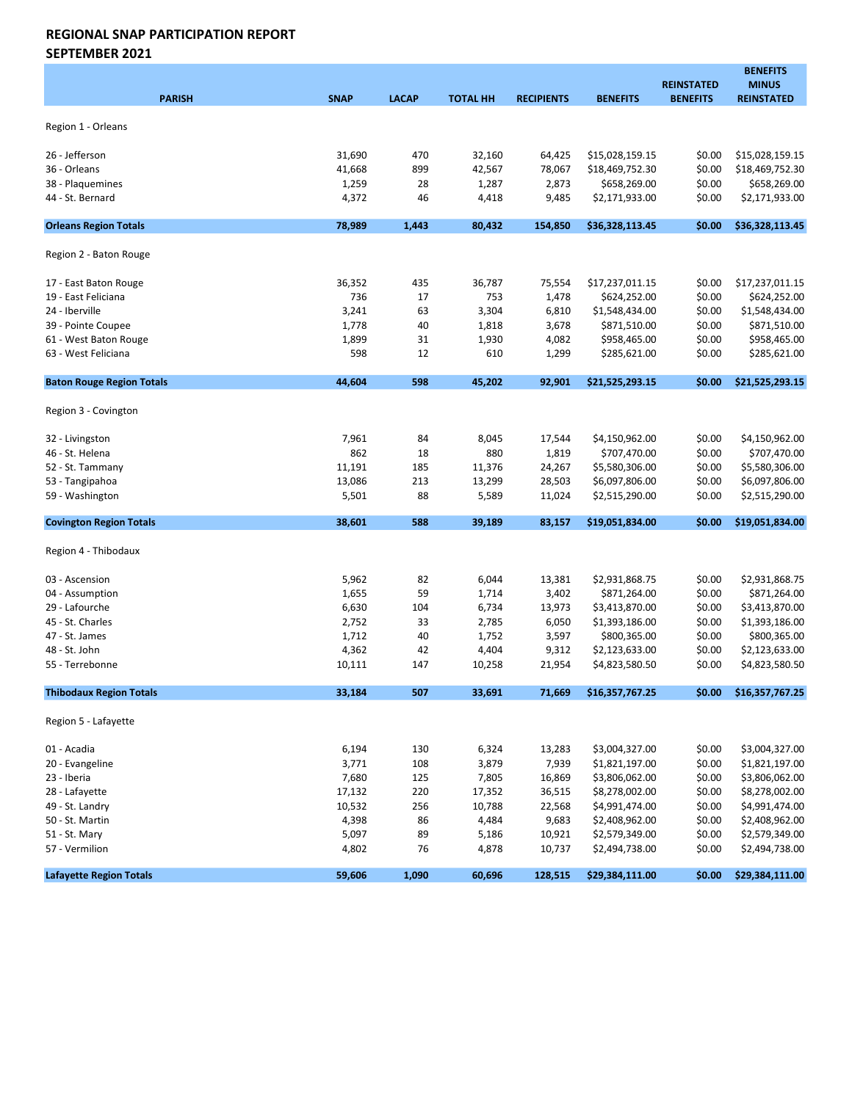SEPTEMBER 2021

| <b>PARISH</b>                    | <b>SNAP</b> | <b>LACAP</b> | <b>TOTAL HH</b> | <b>RECIPIENTS</b> | <b>BENEFITS</b> | <b>REINSTATED</b><br><b>BENEFITS</b> | <b>BENEFITS</b><br><b>MINUS</b><br><b>REINSTATED</b> |
|----------------------------------|-------------|--------------|-----------------|-------------------|-----------------|--------------------------------------|------------------------------------------------------|
| Region 1 - Orleans               |             |              |                 |                   |                 |                                      |                                                      |
| 26 - Jefferson                   | 31,690      | 470          | 32,160          | 64,425            | \$15,028,159.15 | \$0.00                               | \$15,028,159.15                                      |
| 36 - Orleans                     | 41,668      | 899          | 42,567          | 78,067            | \$18,469,752.30 | \$0.00                               | \$18,469,752.30                                      |
| 38 - Plaquemines                 | 1,259       | 28           | 1,287           | 2,873             | \$658,269.00    | \$0.00                               | \$658,269.00                                         |
| 44 - St. Bernard                 | 4,372       | 46           | 4,418           | 9,485             | \$2,171,933.00  | \$0.00                               | \$2,171,933.00                                       |
| <b>Orleans Region Totals</b>     | 78,989      | 1,443        | 80,432          | 154.850           | \$36,328,113.45 | \$0.00                               | \$36,328,113.45                                      |
| Region 2 - Baton Rouge           |             |              |                 |                   |                 |                                      |                                                      |
| 17 - East Baton Rouge            | 36,352      | 435          | 36,787          | 75,554            | \$17,237,011.15 | \$0.00                               | \$17,237,011.15                                      |
| 19 - East Feliciana              | 736         | 17           | 753             | 1,478             | \$624,252.00    | \$0.00                               | \$624,252.00                                         |
| 24 - Iberville                   | 3,241       | 63           | 3,304           | 6,810             | \$1,548,434.00  | \$0.00                               | \$1,548,434.00                                       |
| 39 - Pointe Coupee               | 1,778       | 40           | 1,818           | 3,678             | \$871,510.00    | \$0.00                               | \$871,510.00                                         |
| 61 - West Baton Rouge            | 1,899       | 31           | 1,930           | 4,082             | \$958,465.00    | \$0.00                               | \$958,465.00                                         |
| 63 - West Feliciana              | 598         | 12           | 610             | 1,299             | \$285,621.00    | \$0.00                               | \$285,621.00                                         |
| <b>Baton Rouge Region Totals</b> | 44,604      | 598          | 45,202          | 92,901            | \$21,525,293.15 | \$0.00                               | \$21,525,293.15                                      |
| Region 3 - Covington             |             |              |                 |                   |                 |                                      |                                                      |
| 32 - Livingston                  | 7,961       | 84           | 8,045           | 17,544            | \$4,150,962.00  | \$0.00                               | \$4,150,962.00                                       |
| 46 - St. Helena                  | 862         | 18           | 880             | 1,819             | \$707,470.00    | \$0.00                               | \$707,470.00                                         |
| 52 - St. Tammany                 | 11,191      | 185          | 11,376          | 24,267            | \$5,580,306.00  | \$0.00                               | \$5,580,306.00                                       |
| 53 - Tangipahoa                  | 13,086      | 213          | 13,299          | 28,503            | \$6,097,806.00  | \$0.00                               | \$6,097,806.00                                       |
| 59 - Washington                  | 5,501       | 88           | 5,589           | 11,024            | \$2,515,290.00  | \$0.00                               | \$2,515,290.00                                       |
| <b>Covington Region Totals</b>   | 38,601      | 588          | 39,189          | 83,157            | \$19,051,834.00 | \$0.00                               | \$19,051,834.00                                      |
| Region 4 - Thibodaux             |             |              |                 |                   |                 |                                      |                                                      |
| 03 - Ascension                   | 5,962       | 82           | 6,044           | 13,381            | \$2,931,868.75  | \$0.00                               | \$2,931,868.75                                       |
| 04 - Assumption                  | 1,655       | 59           | 1,714           | 3,402             | \$871,264.00    | \$0.00                               | \$871,264.00                                         |
| 29 - Lafourche                   | 6,630       | 104          | 6,734           | 13,973            | \$3,413,870.00  | \$0.00                               | \$3,413,870.00                                       |
| 45 - St. Charles                 | 2,752       | 33           | 2,785           | 6,050             | \$1,393,186.00  | \$0.00                               | \$1,393,186.00                                       |
| 47 - St. James                   | 1,712       | 40           | 1,752           | 3,597             | \$800,365.00    | \$0.00                               | \$800,365.00                                         |
| 48 - St. John                    | 4,362       | 42           | 4,404           | 9,312             | \$2,123,633.00  | \$0.00                               | \$2,123,633.00                                       |
| 55 - Terrebonne                  | 10,111      | 147          | 10,258          | 21,954            | \$4,823,580.50  | \$0.00                               | \$4,823,580.50                                       |
| <b>Thibodaux Region Totals</b>   | 33,184      | 507          | 33,691          | 71,669            | \$16,357,767.25 | \$0.00\$                             | \$16,357,767.25                                      |
| Region 5 - Lafayette             |             |              |                 |                   |                 |                                      |                                                      |
| 01 - Acadia                      | 6,194       | 130          | 6,324           | 13,283            | \$3,004,327.00  | \$0.00                               | \$3,004,327.00                                       |
| 20 - Evangeline                  | 3,771       | 108          | 3,879           | 7,939             | \$1,821,197.00  | \$0.00                               | \$1,821,197.00                                       |
| 23 - Iberia                      | 7,680       | 125          | 7,805           | 16,869            | \$3,806,062.00  | \$0.00                               | \$3,806,062.00                                       |
| 28 - Lafayette                   | 17,132      | 220          | 17,352          | 36,515            | \$8,278,002.00  | \$0.00                               | \$8,278,002.00                                       |
| 49 - St. Landry                  | 10,532      | 256          | 10,788          | 22,568            | \$4,991,474.00  | \$0.00                               | \$4,991,474.00                                       |
| 50 - St. Martin                  | 4,398       | 86           | 4,484           | 9,683             | \$2,408,962.00  | \$0.00                               | \$2,408,962.00                                       |
| 51 - St. Mary                    | 5,097       | 89           | 5,186           | 10,921            | \$2,579,349.00  | \$0.00                               | \$2,579,349.00                                       |
| 57 - Vermilion                   | 4,802       | 76           | 4,878           | 10,737            | \$2,494,738.00  | \$0.00                               | \$2,494,738.00                                       |
| <b>Lafayette Region Totals</b>   | 59,606      | 1,090        | 60,696          | 128,515           | \$29,384,111.00 | \$0.00\$                             | \$29,384,111.00                                      |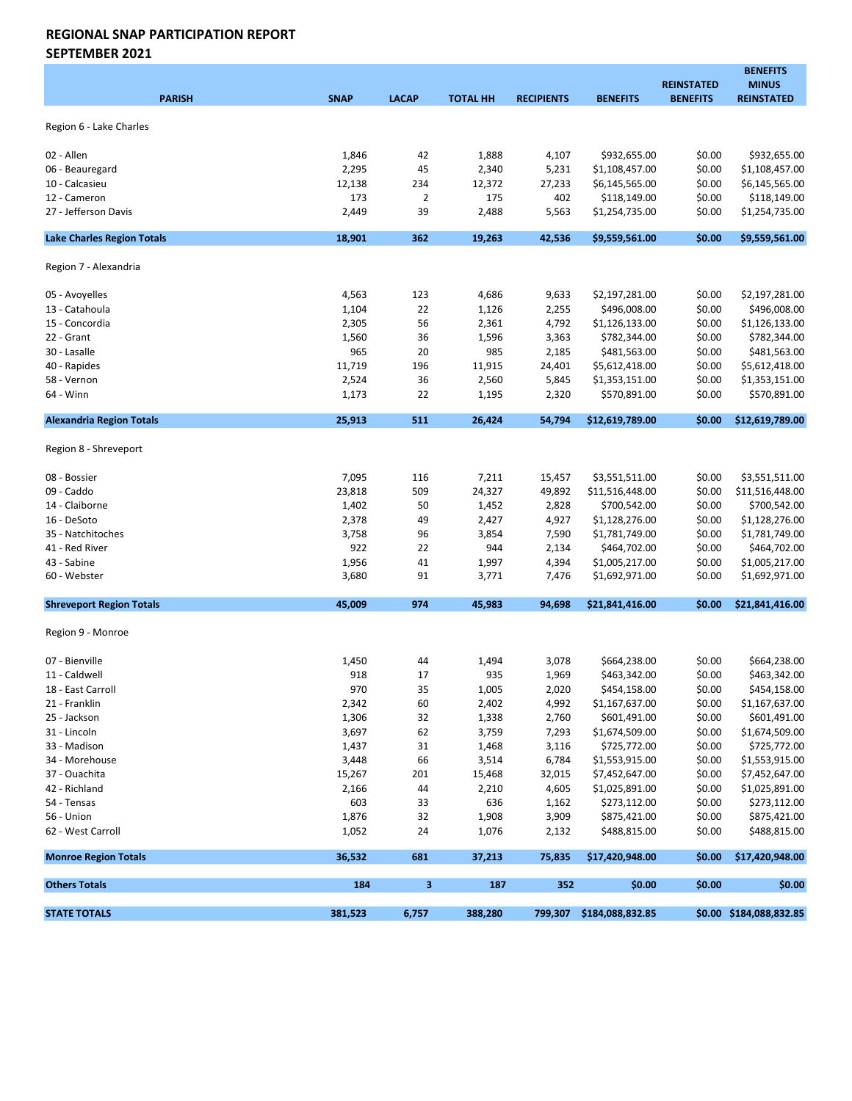SEPTEMBER 2021

|                                   |             |                |                 |                   |                          | <b>REINSTATED</b> | <b>BENEFITS</b><br><b>MINUS</b> |
|-----------------------------------|-------------|----------------|-----------------|-------------------|--------------------------|-------------------|---------------------------------|
| <b>PARISH</b>                     | <b>SNAP</b> | <b>LACAP</b>   | <b>TOTAL HH</b> | <b>RECIPIENTS</b> | <b>BENEFITS</b>          | <b>BENEFITS</b>   | <b>REINSTATED</b>               |
| Region 6 - Lake Charles           |             |                |                 |                   |                          |                   |                                 |
|                                   |             |                |                 |                   |                          |                   |                                 |
| 02 - Allen                        | 1,846       | 42             | 1,888           | 4,107             | \$932,655.00             | \$0.00            | \$932,655.00                    |
| 06 - Beauregard                   | 2,295       | 45             | 2,340           | 5,231             | \$1,108,457.00           | \$0.00            | \$1,108,457.00                  |
| 10 - Calcasieu                    | 12,138      | 234            | 12,372          | 27,233            | \$6,145,565.00           | \$0.00            | \$6,145,565.00                  |
| 12 - Cameron                      | 173         | $\overline{2}$ | 175             | 402               | \$118,149.00             | \$0.00            | \$118,149.00                    |
| 27 - Jefferson Davis              | 2,449       | 39             | 2,488           | 5,563             | \$1,254,735.00           | \$0.00            | \$1,254,735.00                  |
| <b>Lake Charles Region Totals</b> | 18,901      | 362            | 19,263          | 42,536            | \$9,559,561.00           | \$0.00            | \$9,559,561.00                  |
| Region 7 - Alexandria             |             |                |                 |                   |                          |                   |                                 |
| 05 - Avoyelles                    | 4,563       | 123            | 4,686           | 9,633             | \$2,197,281.00           | \$0.00            | \$2,197,281.00                  |
| 13 - Catahoula                    | 1,104       | 22             | 1,126           | 2,255             | \$496,008.00             | \$0.00            | \$496,008.00                    |
| 15 - Concordia                    | 2,305       | 56             | 2,361           | 4,792             | \$1,126,133.00           | \$0.00            | \$1,126,133.00                  |
| 22 - Grant                        | 1,560       | 36             | 1,596           | 3,363             | \$782,344.00             | \$0.00            | \$782,344.00                    |
| 30 - Lasalle                      | 965         | 20             | 985             | 2,185             | \$481,563.00             | \$0.00            | \$481,563.00                    |
| 40 - Rapides                      | 11,719      | 196            | 11,915          | 24,401            | \$5,612,418.00           | \$0.00            | \$5,612,418.00                  |
| 58 - Vernon                       | 2,524       | 36             | 2,560           | 5,845             | \$1,353,151.00           | \$0.00            | \$1,353,151.00                  |
| 64 - Winn                         | 1,173       | 22             | 1,195           | 2,320             | \$570,891.00             | \$0.00            | \$570,891.00                    |
| <b>Alexandria Region Totals</b>   | 25,913      | 511            | 26,424          | 54,794            | \$12,619,789.00          | \$0.00            | \$12,619,789.00                 |
| Region 8 - Shreveport             |             |                |                 |                   |                          |                   |                                 |
| 08 - Bossier                      | 7,095       | 116            | 7,211           | 15,457            | \$3,551,511.00           | \$0.00            | \$3,551,511.00                  |
| 09 - Caddo                        | 23,818      | 509            | 24,327          | 49,892            | \$11,516,448.00          | \$0.00            | \$11,516,448.00                 |
| 14 - Claiborne                    | 1,402       | 50             | 1,452           | 2,828             | \$700,542.00             | \$0.00            | \$700,542.00                    |
| 16 - DeSoto                       | 2,378       | 49             | 2,427           | 4,927             | \$1,128,276.00           | \$0.00            | \$1,128,276.00                  |
| 35 - Natchitoches                 | 3,758       | 96             | 3,854           | 7,590             | \$1,781,749.00           | \$0.00            | \$1,781,749.00                  |
| 41 - Red River                    | 922         | 22             | 944             | 2,134             | \$464,702.00             | \$0.00            | \$464,702.00                    |
| 43 - Sabine                       | 1,956       | 41             | 1,997           | 4,394             | \$1,005,217.00           | \$0.00            | \$1,005,217.00                  |
| 60 - Webster                      | 3,680       | 91             | 3,771           | 7,476             | \$1,692,971.00           | \$0.00            | \$1,692,971.00                  |
| <b>Shreveport Region Totals</b>   | 45.009      | 974            | 45,983          | 94,698            | \$21,841,416.00          | \$0.00            | \$21,841,416.00                 |
| Region 9 - Monroe                 |             |                |                 |                   |                          |                   |                                 |
| 07 - Bienville                    | 1,450       | 44             | 1,494           | 3,078             | \$664,238.00             | \$0.00            | \$664,238.00                    |
| 11 - Caldwell                     | 918         | 17             | 935             | 1,969             | \$463,342.00             | \$0.00            | \$463,342.00                    |
| 18 - East Carroll                 | 970         | 35             | 1,005           | 2,020             | \$454,158.00             | \$0.00            | \$454,158.00                    |
| 21 - Franklin                     | 2,342       | 60             | 2,402           | 4,992             | \$1,167,637.00           | \$0.00            | \$1,167,637.00                  |
| 25 - Jackson                      | 1,306       | 32             | 1,338           | 2,760             | \$601,491.00             | \$0.00            | \$601,491.00                    |
| 31 - Lincoln                      | 3,697       | 62             | 3,759           | 7,293             | \$1,674,509.00           | \$0.00            | \$1,674,509.00                  |
| 33 - Madison                      | 1,437       | 31             | 1,468           | 3,116             | \$725,772.00             | \$0.00            | \$725,772.00                    |
| 34 - Morehouse                    | 3,448       | 66             | 3,514           | 6,784             | \$1,553,915.00           | \$0.00            | \$1,553,915.00                  |
| 37 - Ouachita                     | 15,267      | 201            | 15,468          | 32,015            | \$7,452,647.00           | \$0.00            | \$7,452,647.00                  |
| 42 - Richland                     | 2,166       | 44             | 2,210           | 4,605             | \$1,025,891.00           | \$0.00            | \$1,025,891.00                  |
| 54 - Tensas                       | 603         | 33             | 636             | 1,162             | \$273,112.00             | \$0.00            | \$273,112.00                    |
| 56 - Union                        | 1,876       | 32             | 1,908           | 3,909             | \$875,421.00             | \$0.00            | \$875,421.00                    |
| 62 - West Carroll                 | 1,052       | 24             | 1,076           | 2,132             | \$488,815.00             | \$0.00            | \$488,815.00                    |
| <b>Monroe Region Totals</b>       | 36,532      | 681            | 37,213          | 75,835            | \$17,420,948.00          | \$0.00            | \$17,420,948.00                 |
| <b>Others Totals</b>              | 184         | 3              | 187             | 352               | \$0.00                   | \$0.00            | \$0.00                          |
| <b>STATE TOTALS</b>               | 381,523     | 6,757          | 388,280         |                   | 799,307 \$184,088,832.85 |                   | \$0.00 \$184,088,832.85         |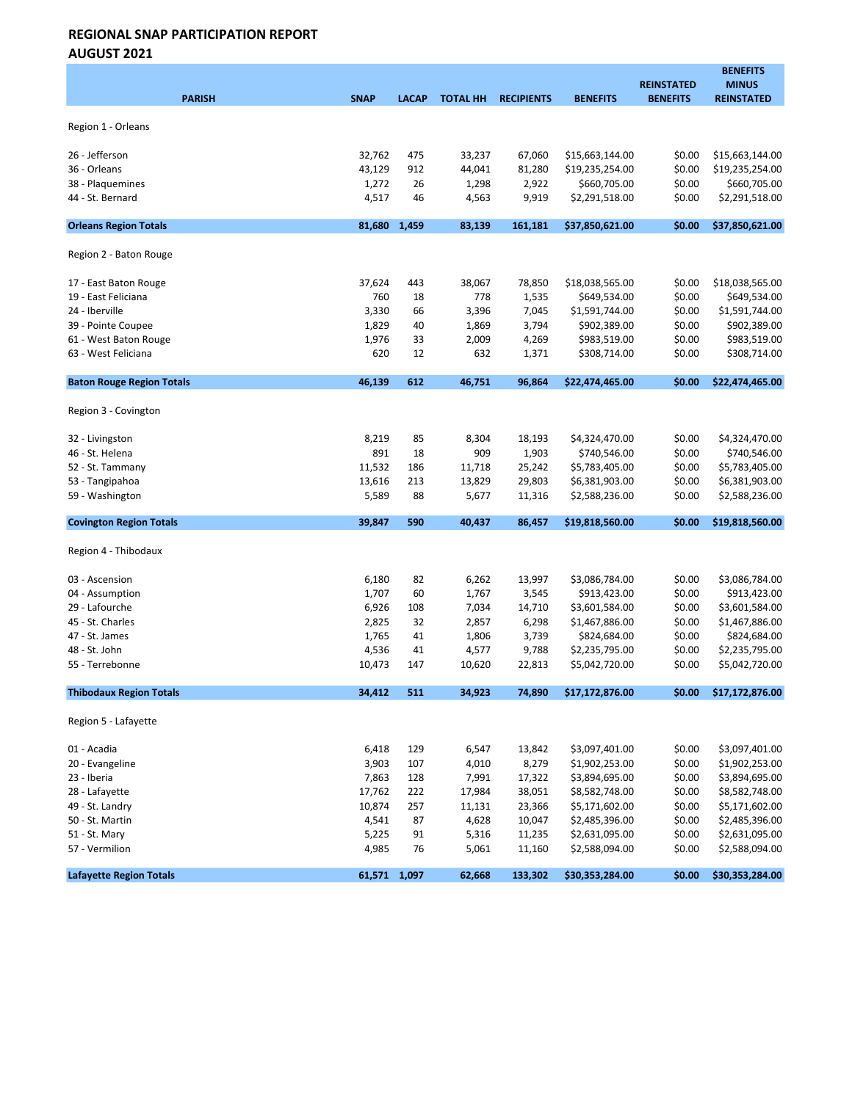| <b>PARISH</b>                    | <b>SNAP</b>    | <b>LACAP</b> | <b>TOTAL HH</b> | <b>RECIPIENTS</b> | <b>BENEFITS</b>                  | <b>REINSTATED</b><br><b>BENEFITS</b> | <b>BENEFITS</b><br><b>MINUS</b><br><b>REINSTATED</b> |
|----------------------------------|----------------|--------------|-----------------|-------------------|----------------------------------|--------------------------------------|------------------------------------------------------|
| Region 1 - Orleans               |                |              |                 |                   |                                  |                                      |                                                      |
| 26 - Jefferson                   | 32,762         | 475          | 33,237          | 67,060            | \$15,663,144.00                  | \$0.00                               | \$15,663,144.00                                      |
| 36 - Orleans                     | 43,129         | 912          | 44,041          | 81,280            | \$19,235,254.00                  | \$0.00                               | \$19,235,254.00                                      |
| 38 - Plaquemines                 | 1,272          | 26           | 1,298           | 2,922             | \$660,705.00                     | \$0.00                               | \$660,705.00                                         |
| 44 - St. Bernard                 | 4,517          | 46           | 4,563           | 9,919             | \$2,291,518.00                   | \$0.00                               | \$2,291,518.00                                       |
| <b>Orleans Region Totals</b>     | 81,680         | 1,459        | 83,139          | 161,181           | \$37,850,621.00                  | \$0.00                               | \$37,850,621.00                                      |
| Region 2 - Baton Rouge           |                |              |                 |                   |                                  |                                      |                                                      |
| 17 - East Baton Rouge            | 37,624         | 443          | 38,067          | 78,850            | \$18,038,565.00                  | \$0.00                               | \$18,038,565.00                                      |
| 19 - East Feliciana              | 760            | 18           | 778             | 1,535             | \$649,534.00                     | \$0.00                               | \$649,534.00                                         |
| 24 - Iberville                   | 3,330          | 66           | 3,396           | 7,045             | \$1,591,744.00                   | \$0.00                               | \$1,591,744.00                                       |
| 39 - Pointe Coupee               | 1,829          | 40           | 1,869           | 3,794             | \$902,389.00                     | \$0.00                               | \$902,389.00                                         |
| 61 - West Baton Rouge            | 1,976          | 33           | 2,009           | 4,269             | \$983,519.00                     | \$0.00                               | \$983,519.00                                         |
| 63 - West Feliciana              | 620            | 12           | 632             | 1,371             | \$308,714.00                     | \$0.00                               | \$308,714.00                                         |
| <b>Baton Rouge Region Totals</b> | 46,139         | 612          | 46,751          | 96,864            | \$22,474,465.00                  | \$0.00                               | \$22,474,465.00                                      |
| Region 3 - Covington             |                |              |                 |                   |                                  |                                      |                                                      |
| 32 - Livingston                  | 8,219          | 85           | 8,304           | 18,193            | \$4,324,470.00                   | \$0.00                               | \$4,324,470.00                                       |
| 46 - St. Helena                  | 891            | 18           | 909             | 1,903             | \$740,546.00                     | \$0.00                               | \$740,546.00                                         |
| 52 - St. Tammany                 | 11,532         | 186          | 11,718          | 25,242            | \$5,783,405.00                   | \$0.00                               | \$5,783,405.00                                       |
| 53 - Tangipahoa                  | 13,616         | 213          | 13,829          | 29,803            | \$6,381,903.00                   | \$0.00                               | \$6,381,903.00                                       |
| 59 - Washington                  | 5,589          | 88           | 5,677           | 11,316            | \$2,588,236.00                   | \$0.00                               | \$2,588,236.00                                       |
| <b>Covington Region Totals</b>   | 39,847         | 590          | 40,437          | 86,457            | \$19,818,560.00                  | \$0.00                               | \$19,818,560.00                                      |
| Region 4 - Thibodaux             |                |              |                 |                   |                                  |                                      |                                                      |
| 03 - Ascension                   | 6,180          | 82           | 6,262           | 13,997            | \$3,086,784.00                   | \$0.00                               | \$3,086,784.00                                       |
| 04 - Assumption                  | 1,707          | 60           | 1,767           | 3,545             | \$913,423.00                     | \$0.00                               | \$913,423.00                                         |
| 29 - Lafourche                   | 6,926          | 108          | 7,034           | 14,710            | \$3,601,584.00                   | \$0.00                               | \$3,601,584.00                                       |
| 45 - St. Charles                 | 2,825          | 32           | 2,857           | 6,298             | \$1,467,886.00                   | \$0.00                               | \$1,467,886.00                                       |
| 47 - St. James                   | 1,765          | 41           | 1,806           | 3,739             | \$824,684.00                     | \$0.00                               | \$824,684.00                                         |
| 48 - St. John                    | 4,536          | 41           | 4,577           | 9,788             | \$2,235,795.00                   | \$0.00                               | \$2,235,795.00                                       |
| 55 - Terrebonne                  | 10,473         | 147          | 10,620          | 22,813            | \$5,042,720.00                   | \$0.00                               | \$5,042,720.00                                       |
| <b>Thibodaux Region Totals</b>   | 34,412         | 511          | 34,923          | 74,890            | \$17,172,876.00                  | \$0.00                               | \$17,172,876.00                                      |
| Region 5 - Lafayette             |                |              |                 |                   |                                  |                                      |                                                      |
| 01 - Acadia                      | 6,418          | 129          | 6,547           | 13,842            | \$3,097,401.00                   | \$0.00                               | \$3,097,401.00                                       |
| 20 - Evangeline                  | 3,903          | 107          | 4,010           | 8,279             | \$1,902,253.00                   | \$0.00                               | \$1,902,253.00                                       |
| 23 - Iberia                      | 7,863          | 128          | 7,991           | 17,322            | \$3,894,695.00                   | \$0.00                               | \$3,894,695.00                                       |
| 28 - Lafayette                   | 17,762         | 222          | 17,984          | 38,051            | \$8,582,748.00                   | \$0.00                               | \$8,582,748.00                                       |
| 49 - St. Landry                  | 10,874         | 257          | 11,131          | 23,366            | \$5,171,602.00                   | \$0.00                               | \$5,171,602.00                                       |
| 50 - St. Martin                  | 4,541          | 87           | 4,628           | 10,047            | \$2,485,396.00                   | \$0.00                               | \$2,485,396.00                                       |
| 51 - St. Mary<br>57 - Vermilion  | 5,225<br>4,985 | 91<br>76     | 5,316<br>5,061  | 11,235<br>11,160  | \$2,631,095.00<br>\$2,588,094.00 | \$0.00<br>\$0.00                     | \$2,631,095.00<br>\$2,588,094.00                     |
| <b>Lafayette Region Totals</b>   | 61,571 1,097   |              | 62,668          | 133,302           | \$30,353,284.00                  | \$0.00                               | \$30,353,284.00                                      |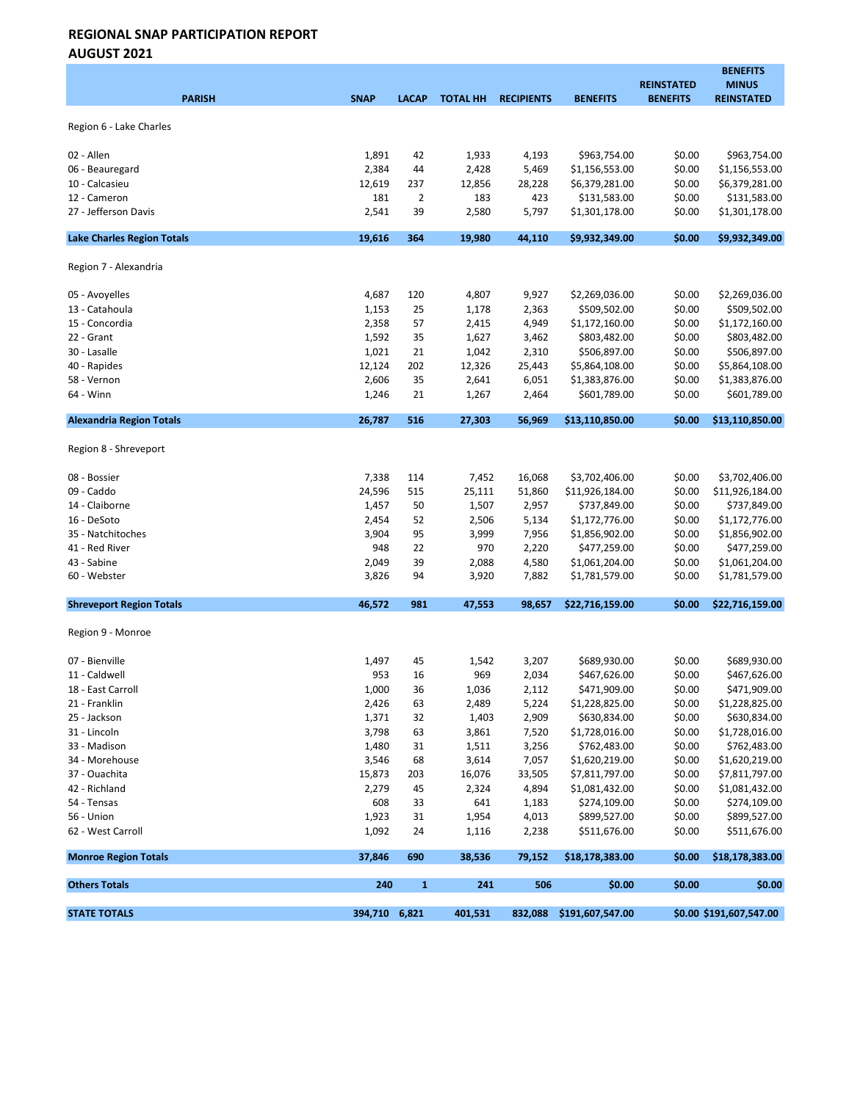| <b>PARISH</b>                     | <b>SNAP</b>   | <b>LACAP</b> | <b>TOTAL HH</b> | <b>RECIPIENTS</b> | <b>BENEFITS</b>  | <b>REINSTATED</b><br><b>BENEFITS</b> | <b>BENEFITS</b><br><b>MINUS</b><br><b>REINSTATED</b> |
|-----------------------------------|---------------|--------------|-----------------|-------------------|------------------|--------------------------------------|------------------------------------------------------|
| Region 6 - Lake Charles           |               |              |                 |                   |                  |                                      |                                                      |
| 02 - Allen                        | 1,891         | 42           | 1,933           | 4,193             | \$963,754.00     | \$0.00                               | \$963,754.00                                         |
| 06 - Beauregard                   | 2,384         | 44           | 2,428           | 5,469             | \$1,156,553.00   | \$0.00                               | \$1,156,553.00                                       |
| 10 - Calcasieu                    | 12,619        | 237          | 12,856          | 28,228            | \$6,379,281.00   | \$0.00                               | \$6,379,281.00                                       |
| 12 - Cameron                      | 181           | 2            | 183             | 423               | \$131,583.00     | \$0.00                               | \$131,583.00                                         |
| 27 - Jefferson Davis              | 2,541         | 39           | 2,580           | 5,797             | \$1,301,178.00   | \$0.00                               | \$1,301,178.00                                       |
| <b>Lake Charles Region Totals</b> | 19,616        | 364          | 19,980          | 44,110            | \$9,932,349.00   | \$0.00                               | \$9,932,349.00                                       |
| Region 7 - Alexandria             |               |              |                 |                   |                  |                                      |                                                      |
| 05 - Avoyelles                    | 4,687         | 120          | 4,807           | 9,927             | \$2,269,036.00   | \$0.00                               | \$2,269,036.00                                       |
| 13 - Catahoula                    | 1,153         | 25           | 1,178           | 2,363             | \$509,502.00     | \$0.00                               | \$509,502.00                                         |
| 15 - Concordia                    | 2,358         | 57           | 2,415           | 4,949             | \$1,172,160.00   | \$0.00                               | \$1,172,160.00                                       |
| 22 - Grant                        | 1,592         | 35           | 1,627           | 3,462             | \$803,482.00     | \$0.00                               | \$803,482.00                                         |
| 30 - Lasalle                      | 1,021         | 21           | 1,042           | 2,310             | \$506,897.00     | \$0.00                               | \$506,897.00                                         |
| 40 - Rapides                      | 12,124        | 202          | 12,326          | 25,443            | \$5,864,108.00   | \$0.00                               | \$5,864,108.00                                       |
| 58 - Vernon                       | 2,606         | 35           | 2,641           | 6,051             | \$1,383,876.00   | \$0.00                               | \$1,383,876.00                                       |
| 64 - Winn                         | 1,246         | 21           | 1,267           | 2,464             | \$601,789.00     | \$0.00                               | \$601,789.00                                         |
| <b>Alexandria Region Totals</b>   | 26,787        | 516          | 27,303          | 56,969            | \$13,110,850.00  | \$0.00                               | \$13,110,850.00                                      |
| Region 8 - Shreveport             |               |              |                 |                   |                  |                                      |                                                      |
| 08 - Bossier                      | 7,338         | 114          | 7,452           | 16,068            | \$3,702,406.00   | \$0.00                               | \$3,702,406.00                                       |
| 09 - Caddo                        | 24,596        | 515          | 25,111          | 51,860            | \$11,926,184.00  | \$0.00                               | \$11,926,184.00                                      |
| 14 - Claiborne                    | 1,457         | 50           | 1,507           | 2,957             | \$737,849.00     | \$0.00                               | \$737,849.00                                         |
| 16 - DeSoto                       | 2,454         | 52           | 2,506           | 5,134             | \$1,172,776.00   | \$0.00                               | \$1,172,776.00                                       |
| 35 - Natchitoches                 | 3,904         | 95           | 3,999           | 7,956             | \$1,856,902.00   | \$0.00                               | \$1,856,902.00                                       |
| 41 - Red River                    | 948           | 22           | 970             | 2,220             | \$477,259.00     | \$0.00                               | \$477,259.00                                         |
| 43 - Sabine                       | 2,049         | 39           | 2,088           | 4,580             | \$1,061,204.00   | \$0.00                               | \$1,061,204.00                                       |
| 60 - Webster                      | 3,826         | 94           | 3,920           | 7,882             | \$1,781,579.00   | \$0.00                               | \$1,781,579.00                                       |
| <b>Shreveport Region Totals</b>   | 46,572        | 981          | 47,553          | 98,657            | \$22,716,159.00  | \$0.00                               | \$22,716,159.00                                      |
| Region 9 - Monroe                 |               |              |                 |                   |                  |                                      |                                                      |
| 07 - Bienville                    | 1,497         | 45           | 1,542           | 3,207             | \$689,930.00     | \$0.00                               | \$689,930.00                                         |
| 11 - Caldwell                     | 953           | 16           | 969             | 2,034             | \$467,626.00     | \$0.00                               | \$467,626.00                                         |
| 18 - East Carroll                 | 1,000         | 36           | 1,036           | 2,112             | \$471,909.00     | \$0.00                               | \$471,909.00                                         |
| 21 - Franklin                     | 2,426         | 63           | 2,489           | 5,224             | \$1,228,825.00   | \$0.00                               | \$1,228,825.00                                       |
| 25 - Jackson                      | 1,371         | 32           | 1,403           | 2,909             | \$630,834.00     | \$0.00                               | \$630,834.00                                         |
| 31 - Lincoln                      | 3,798         | 63           | 3,861           | 7,520             | \$1,728,016.00   | \$0.00                               | \$1,728,016.00                                       |
| 33 - Madison                      | 1,480         | 31           | 1,511           | 3,256             | \$762,483.00     | \$0.00                               | \$762,483.00                                         |
| 34 - Morehouse                    | 3,546         | 68           | 3,614           | 7,057             | \$1,620,219.00   | \$0.00                               | \$1,620,219.00                                       |
| 37 - Ouachita                     | 15,873        | 203          | 16,076          | 33,505            | \$7,811,797.00   | \$0.00                               | \$7,811,797.00                                       |
| 42 - Richland                     | 2,279         | 45           | 2,324           | 4,894             | \$1,081,432.00   | \$0.00                               | \$1,081,432.00                                       |
| 54 - Tensas                       | 608           | 33           | 641             | 1,183             | \$274,109.00     | \$0.00                               | \$274,109.00                                         |
| 56 - Union                        | 1,923         | 31           | 1,954           | 4,013             | \$899,527.00     | \$0.00                               | \$899,527.00                                         |
| 62 - West Carroll                 | 1,092         | 24           | 1,116           | 2,238             | \$511,676.00     | \$0.00                               | \$511,676.00                                         |
| <b>Monroe Region Totals</b>       | 37,846        | 690          | 38,536          | 79,152            | \$18,178,383.00  | \$0.00                               | \$18,178,383.00                                      |
| <b>Others Totals</b>              | 240           | $\mathbf{1}$ | 241             | 506               | \$0.00           | \$0.00                               | \$0.00                                               |
| <b>STATE TOTALS</b>               | 394,710 6,821 |              | 401,531         | 832,088           | \$191,607,547.00 |                                      | \$0.00 \$191,607,547.00                              |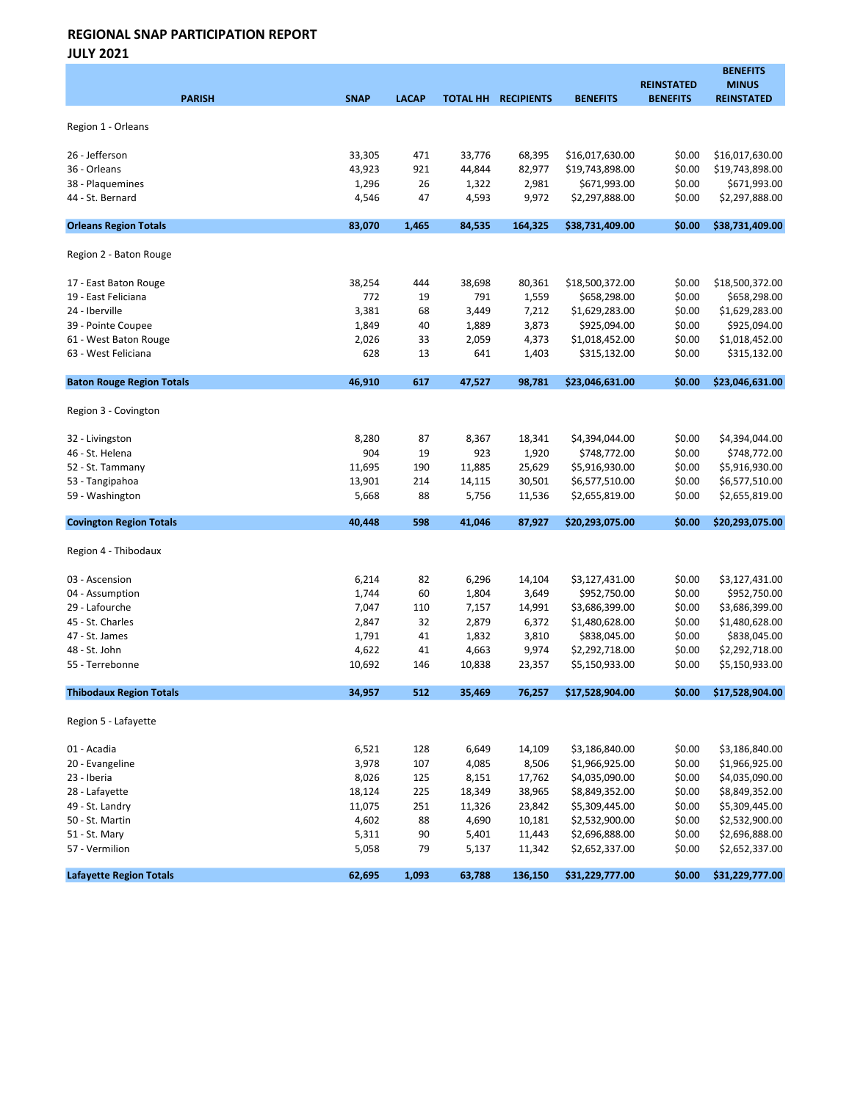JULY 2021

|                                  |                |              |                |                     |                                  | <b>REINSTATED</b> | <b>BENEFITS</b><br><b>MINUS</b>  |
|----------------------------------|----------------|--------------|----------------|---------------------|----------------------------------|-------------------|----------------------------------|
| <b>PARISH</b>                    | <b>SNAP</b>    | <b>LACAP</b> |                | TOTAL HH RECIPIENTS | <b>BENEFITS</b>                  | <b>BENEFITS</b>   | <b>REINSTATED</b>                |
|                                  |                |              |                |                     |                                  |                   |                                  |
| Region 1 - Orleans               |                |              |                |                     |                                  |                   |                                  |
| 26 - Jefferson                   | 33,305         | 471          | 33,776         | 68,395              | \$16,017,630.00                  | \$0.00            | \$16,017,630.00                  |
| 36 - Orleans                     | 43,923         | 921          | 44,844         | 82,977              | \$19,743,898.00                  | \$0.00            | \$19,743,898.00                  |
| 38 - Plaquemines                 | 1,296          | 26           | 1,322          | 2,981               | \$671,993.00                     | \$0.00            | \$671,993.00                     |
| 44 - St. Bernard                 | 4,546          | 47           | 4,593          | 9,972               | \$2,297,888.00                   | \$0.00            | \$2,297,888.00                   |
| <b>Orleans Region Totals</b>     | 83,070         | 1,465        | 84,535         | 164,325             | \$38,731,409.00                  | \$0.00            | \$38,731,409.00                  |
|                                  |                |              |                |                     |                                  |                   |                                  |
| Region 2 - Baton Rouge           |                |              |                |                     |                                  |                   |                                  |
| 17 - East Baton Rouge            | 38,254         | 444          | 38,698         | 80,361              | \$18,500,372.00                  | \$0.00            | \$18,500,372.00                  |
| 19 - East Feliciana              | 772            | 19           | 791            | 1,559               | \$658,298.00                     | \$0.00            | \$658,298.00                     |
| 24 - Iberville                   | 3,381          | 68           | 3,449          | 7,212               | \$1,629,283.00                   | \$0.00            | \$1,629,283.00                   |
| 39 - Pointe Coupee               | 1,849          | 40           | 1,889          | 3,873               | \$925,094.00                     | \$0.00            | \$925,094.00                     |
| 61 - West Baton Rouge            | 2,026          | 33           | 2,059          | 4,373               | \$1,018,452.00                   | \$0.00            | \$1,018,452.00                   |
| 63 - West Feliciana              | 628            | 13           | 641            | 1,403               | \$315,132.00                     | \$0.00            | \$315,132.00                     |
| <b>Baton Rouge Region Totals</b> | 46,910         | 617          | 47,527         | 98,781              | \$23,046,631.00                  | \$0.00            | \$23,046,631.00                  |
|                                  |                |              |                |                     |                                  |                   |                                  |
| Region 3 - Covington             |                |              |                |                     |                                  |                   |                                  |
| 32 - Livingston                  | 8,280          | 87           | 8,367          | 18,341              | \$4,394,044.00                   | \$0.00            | \$4,394,044.00                   |
| 46 - St. Helena                  | 904            | 19           | 923            | 1,920               | \$748,772.00                     | \$0.00            | \$748,772.00                     |
| 52 - St. Tammany                 | 11,695         | 190          | 11,885         | 25,629              | \$5,916,930.00                   | \$0.00            | \$5,916,930.00                   |
| 53 - Tangipahoa                  | 13,901         | 214          | 14,115         | 30,501              | \$6,577,510.00                   | \$0.00            | \$6,577,510.00                   |
| 59 - Washington                  | 5,668          | 88           | 5,756          | 11,536              | \$2,655,819.00                   | \$0.00            | \$2,655,819.00                   |
| <b>Covington Region Totals</b>   | 40,448         | 598          | 41,046         | 87,927              | \$20,293,075.00                  | \$0.00            | \$20,293,075.00                  |
|                                  |                |              |                |                     |                                  |                   |                                  |
| Region 4 - Thibodaux             |                |              |                |                     |                                  |                   |                                  |
| 03 - Ascension                   | 6,214          | 82           | 6,296          | 14,104              | \$3,127,431.00                   | \$0.00            | \$3,127,431.00                   |
| 04 - Assumption                  | 1,744          | 60           | 1,804          | 3,649               | \$952,750.00                     | \$0.00            | \$952,750.00                     |
| 29 - Lafourche                   | 7,047          | 110          | 7,157          | 14,991              | \$3,686,399.00                   | \$0.00            | \$3,686,399.00                   |
| 45 - St. Charles                 | 2,847          | 32           | 2,879          | 6,372               | \$1,480,628.00                   | \$0.00            | \$1,480,628.00                   |
| 47 - St. James                   | 1,791          | 41           | 1,832          | 3,810               | \$838,045.00                     | \$0.00            | \$838,045.00                     |
| 48 - St. John                    | 4,622          | 41           | 4,663          | 9,974               | \$2,292,718.00                   | \$0.00            | \$2,292,718.00                   |
| 55 - Terrebonne                  | 10,692         | 146          | 10,838         | 23,357              | \$5,150,933.00                   | \$0.00            | \$5,150,933.00                   |
| <b>Thibodaux Region Totals</b>   | 34,957         | 512          | 35,469         | 76,257              | \$17,528,904.00                  | \$0.00            | \$17,528,904.00                  |
| Region 5 - Lafayette             |                |              |                |                     |                                  |                   |                                  |
|                                  |                |              |                |                     |                                  |                   |                                  |
| 01 - Acadia                      | 6,521          | 128          | 6,649          | 14,109              | \$3,186,840.00                   | \$0.00            | \$3,186,840.00                   |
| 20 - Evangeline                  | 3,978          | 107          | 4,085          | 8,506               | \$1,966,925.00                   | \$0.00            | \$1,966,925.00                   |
| 23 - Iberia                      | 8,026          | 125          | 8,151          | 17,762              | \$4,035,090.00                   | \$0.00            | \$4,035,090.00                   |
| 28 - Lafayette                   | 18,124         | 225          | 18,349         | 38,965              | \$8,849,352.00                   | \$0.00            | \$8,849,352.00                   |
| 49 - St. Landry                  | 11,075         | 251          | 11,326         | 23,842              | \$5,309,445.00                   | \$0.00            | \$5,309,445.00                   |
| 50 - St. Martin                  | 4,602          | 88           | 4,690          | 10,181              | \$2,532,900.00                   | \$0.00            | \$2,532,900.00                   |
| 51 - St. Mary<br>57 - Vermilion  | 5,311<br>5,058 | 90<br>79     | 5,401<br>5,137 | 11,443<br>11,342    | \$2,696,888.00<br>\$2,652,337.00 | \$0.00<br>\$0.00  | \$2,696,888.00<br>\$2,652,337.00 |
|                                  |                |              |                |                     |                                  |                   |                                  |
| <b>Lafayette Region Totals</b>   | 62,695         | 1,093        | 63,788         | 136,150             | \$31,229,777.00                  | \$0.00            | \$31,229,777.00                  |